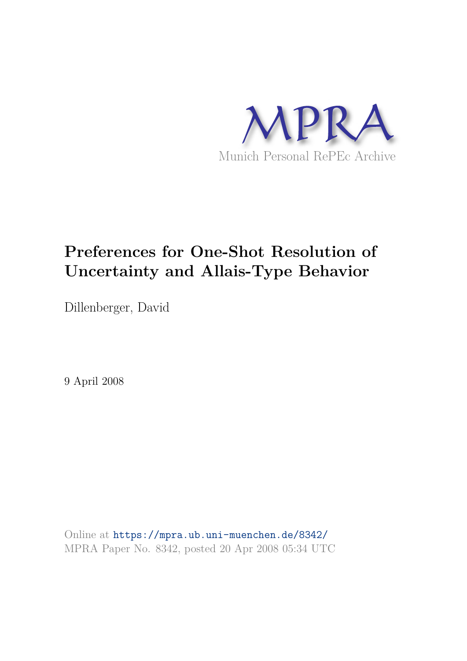

# **Preferences for One-Shot Resolution of Uncertainty and Allais-Type Behavior**

Dillenberger, David

9 April 2008

Online at https://mpra.ub.uni-muenchen.de/8342/ MPRA Paper No. 8342, posted 20 Apr 2008 05:34 UTC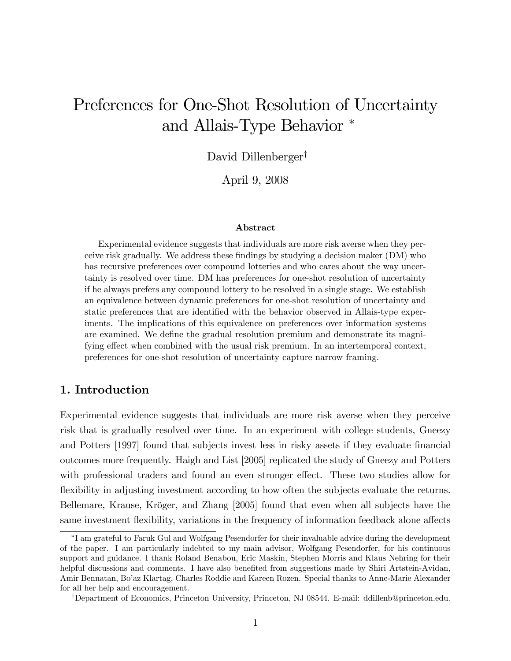## Preferences for One-Shot Resolution of Uncertainty and Allais-Type Behavior

David Dillenberger<sup>†</sup>

April 9, 2008

#### Abstract

Experimental evidence suggests that individuals are more risk averse when they perceive risk gradually. We address these findings by studying a decision maker (DM) who has recursive preferences over compound lotteries and who cares about the way uncertainty is resolved over time. DM has preferences for one-shot resolution of uncertainty if he always prefers any compound lottery to be resolved in a single stage. We establish an equivalence between dynamic preferences for one-shot resolution of uncertainty and static preferences that are identified with the behavior observed in Allais-type experiments. The implications of this equivalence on preferences over information systems are examined. We define the gradual resolution premium and demonstrate its magnifying effect when combined with the usual risk premium. In an intertemporal context, preferences for one-shot resolution of uncertainty capture narrow framing.

## 1. Introduction

Experimental evidence suggests that individuals are more risk averse when they perceive risk that is gradually resolved over time. In an experiment with college students, Gneezy and Potters [1997] found that subjects invest less in risky assets if they evaluate financial outcomes more frequently. Haigh and List [2005] replicated the study of Gneezy and Potters with professional traders and found an even stronger effect. These two studies allow for flexibility in adjusting investment according to how often the subjects evaluate the returns. Bellemare, Krause, Kröger, and Zhang [2005] found that even when all subjects have the same investment flexibility, variations in the frequency of information feedback alone affects

I am grateful to Faruk Gul and Wolfgang Pesendorfer for their invaluable advice during the development of the paper. I am particularly indebted to my main advisor, Wolfgang Pesendorfer, for his continuous support and guidance. I thank Roland Benabou, Eric Maskin, Stephen Morris and Klaus Nehring for their helpful discussions and comments. I have also benefited from suggestions made by Shiri Artstein-Avidan, Amir Bennatan, Boíaz Klartag, Charles Roddie and Kareen Rozen. Special thanks to Anne-Marie Alexander for all her help and encouragement.

<sup>&</sup>lt;sup>†</sup>Department of Economics, Princeton University, Princeton, NJ 08544. E-mail: ddillenb@princeton.edu.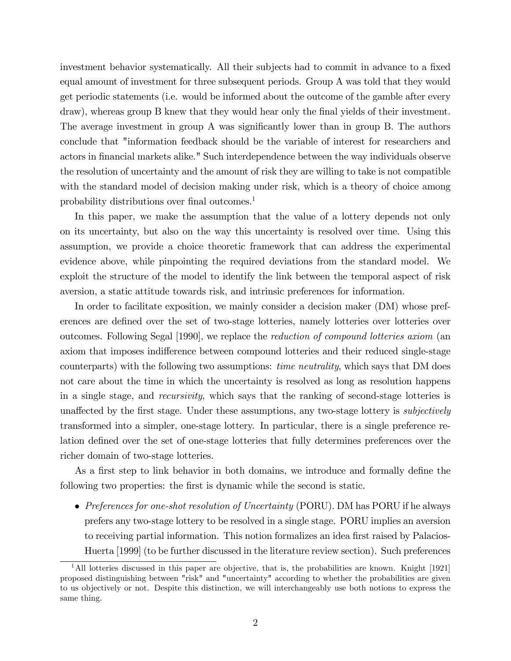investment behavior systematically. All their subjects had to commit in advance to a fixed equal amount of investment for three subsequent periods. Group A was told that they would get periodic statements (i.e. would be informed about the outcome of the gamble after every draw), whereas group B knew that they would hear only the final yields of their investment. The average investment in group A was significantly lower than in group B. The authors conclude that "information feedback should be the variable of interest for researchers and actors in financial markets alike." Such interdependence between the way individuals observe the resolution of uncertainty and the amount of risk they are willing to take is not compatible with the standard model of decision making under risk, which is a theory of choice among probability distributions over final outcomes.<sup>1</sup>

In this paper, we make the assumption that the value of a lottery depends not only on its uncertainty, but also on the way this uncertainty is resolved over time. Using this assumption, we provide a choice theoretic framework that can address the experimental evidence above, while pinpointing the required deviations from the standard model. We exploit the structure of the model to identify the link between the temporal aspect of risk aversion, a static attitude towards risk, and intrinsic preferences for information.

In order to facilitate exposition, we mainly consider a decision maker (DM) whose preferences are defined over the set of two-stage lotteries, namely lotteries over lotteries over outcomes. Following Segal [1990], we replace the reduction of compound lotteries axiom (an axiom that imposes indifference between compound lotteries and their reduced single-stage counterparts) with the following two assumptions: time neutrality, which says that DM does not care about the time in which the uncertainty is resolved as long as resolution happens in a single stage, and recursivity, which says that the ranking of second-stage lotteries is unaffected by the first stage. Under these assumptions, any two-stage lottery is *subjectively* transformed into a simpler, one-stage lottery. In particular, there is a single preference relation defined over the set of one-stage lotteries that fully determines preferences over the richer domain of two-stage lotteries.

As a first step to link behavior in both domains, we introduce and formally define the following two properties: the first is dynamic while the second is static.

• Preferences for one-shot resolution of Uncertainty (PORU). DM has PORU if he always prefers any two-stage lottery to be resolved in a single stage. PORU implies an aversion to receiving partial information. This notion formalizes an idea first raised by Palacios-Huerta [1999] (to be further discussed in the literature review section). Such preferences

<sup>&</sup>lt;sup>1</sup>All lotteries discussed in this paper are objective, that is, the probabilities are known. Knight [1921] proposed distinguishing between "risk" and "uncertainty" according to whether the probabilities are given to us objectively or not. Despite this distinction, we will interchangeably use both notions to express the same thing.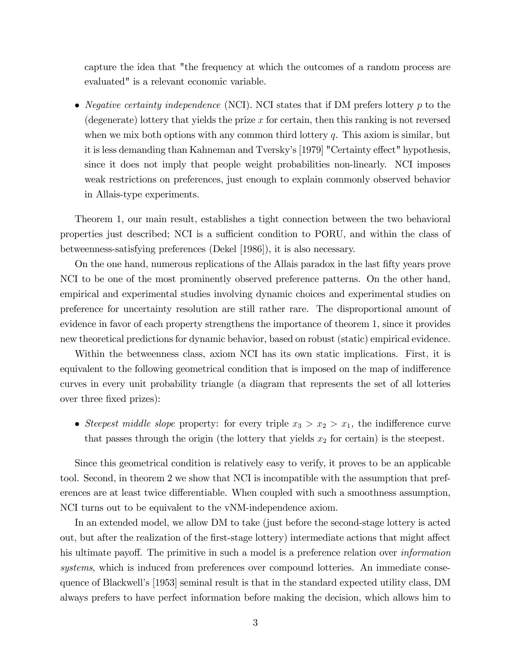capture the idea that "the frequency at which the outcomes of a random process are evaluated" is a relevant economic variable.

• Negative certainty independence (NCI). NCI states that if DM prefers lottery  $p$  to the (degenerate) lottery that yields the prize x for certain, then this ranking is not reversed when we mix both options with any common third lottery  $q$ . This axiom is similar, but it is less demanding than Kahneman and Tversky's [1979] "Certainty effect" hypothesis, since it does not imply that people weight probabilities non-linearly. NCI imposes weak restrictions on preferences, just enough to explain commonly observed behavior in Allais-type experiments.

Theorem 1, our main result, establishes a tight connection between the two behavioral properties just described; NCI is a sufficient condition to PORU, and within the class of betweenness-satisfying preferences (Dekel [1986]), it is also necessary.

On the one hand, numerous replications of the Allais paradox in the last Öfty years prove NCI to be one of the most prominently observed preference patterns. On the other hand, empirical and experimental studies involving dynamic choices and experimental studies on preference for uncertainty resolution are still rather rare. The disproportional amount of evidence in favor of each property strengthens the importance of theorem 1, since it provides new theoretical predictions for dynamic behavior, based on robust (static) empirical evidence.

Within the betweenness class, axiom NCI has its own static implications. First, it is equivalent to the following geometrical condition that is imposed on the map of indifference curves in every unit probability triangle (a diagram that represents the set of all lotteries over three fixed prizes):

• Steepest middle slope property: for every triple  $x_3 > x_2 > x_1$ , the indifference curve that passes through the origin (the lottery that yields  $x_2$  for certain) is the steepest.

Since this geometrical condition is relatively easy to verify, it proves to be an applicable tool. Second, in theorem 2 we show that NCI is incompatible with the assumption that preferences are at least twice differentiable. When coupled with such a smoothness assumption, NCI turns out to be equivalent to the vNM-independence axiom.

In an extended model, we allow DM to take (just before the second-stage lottery is acted out, but after the realization of the first-stage lottery) intermediate actions that might affect his ultimate payoff. The primitive in such a model is a preference relation over *information* systems, which is induced from preferences over compound lotteries. An immediate consequence of Blackwell's [1953] seminal result is that in the standard expected utility class, DM always prefers to have perfect information before making the decision, which allows him to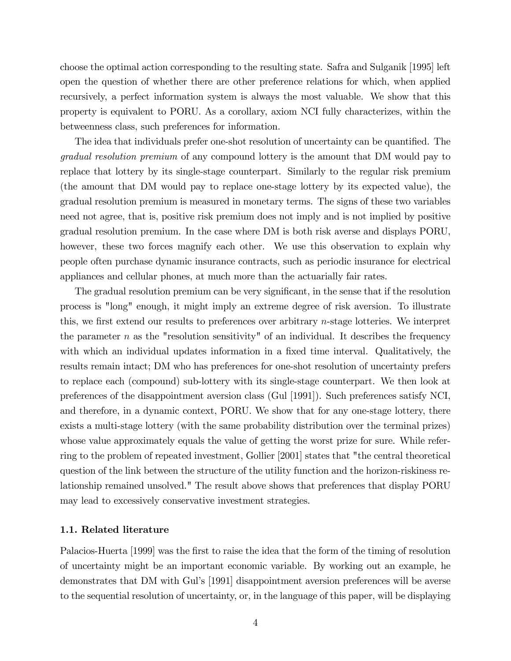choose the optimal action corresponding to the resulting state. Safra and Sulganik [1995] left open the question of whether there are other preference relations for which, when applied recursively, a perfect information system is always the most valuable. We show that this property is equivalent to PORU. As a corollary, axiom NCI fully characterizes, within the betweenness class, such preferences for information.

The idea that individuals prefer one-shot resolution of uncertainty can be quantified. The gradual resolution premium of any compound lottery is the amount that DM would pay to replace that lottery by its single-stage counterpart. Similarly to the regular risk premium (the amount that DM would pay to replace one-stage lottery by its expected value), the gradual resolution premium is measured in monetary terms. The signs of these two variables need not agree, that is, positive risk premium does not imply and is not implied by positive gradual resolution premium. In the case where DM is both risk averse and displays PORU, however, these two forces magnify each other. We use this observation to explain why people often purchase dynamic insurance contracts, such as periodic insurance for electrical appliances and cellular phones, at much more than the actuarially fair rates.

The gradual resolution premium can be very significant, in the sense that if the resolution process is "long" enough, it might imply an extreme degree of risk aversion. To illustrate this, we first extend our results to preferences over arbitrary  $n$ -stage lotteries. We interpret the parameter  $n$  as the "resolution sensitivity" of an individual. It describes the frequency with which an individual updates information in a fixed time interval. Qualitatively, the results remain intact; DM who has preferences for one-shot resolution of uncertainty prefers to replace each (compound) sub-lottery with its single-stage counterpart. We then look at preferences of the disappointment aversion class (Gul [1991]). Such preferences satisfy NCI, and therefore, in a dynamic context, PORU. We show that for any one-stage lottery, there exists a multi-stage lottery (with the same probability distribution over the terminal prizes) whose value approximately equals the value of getting the worst prize for sure. While referring to the problem of repeated investment, Gollier [2001] states that "the central theoretical question of the link between the structure of the utility function and the horizon-riskiness relationship remained unsolved." The result above shows that preferences that display PORU may lead to excessively conservative investment strategies.

#### 1.1. Related literature

Palacios-Huerta [1999] was the first to raise the idea that the form of the timing of resolution of uncertainty might be an important economic variable. By working out an example, he demonstrates that DM with Gulís [1991] disappointment aversion preferences will be averse to the sequential resolution of uncertainty, or, in the language of this paper, will be displaying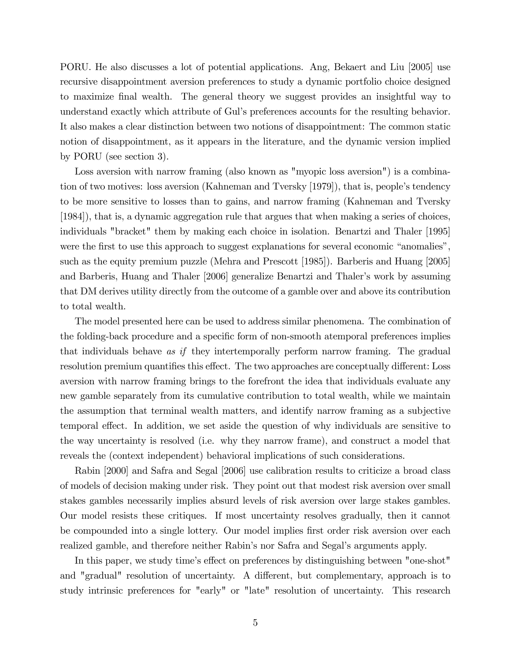PORU. He also discusses a lot of potential applications. Ang, Bekaert and Liu [2005] use recursive disappointment aversion preferences to study a dynamic portfolio choice designed to maximize Önal wealth. The general theory we suggest provides an insightful way to understand exactly which attribute of Gulís preferences accounts for the resulting behavior. It also makes a clear distinction between two notions of disappointment: The common static notion of disappointment, as it appears in the literature, and the dynamic version implied by PORU (see section 3).

Loss aversion with narrow framing (also known as "myopic loss aversion") is a combination of two motives: loss aversion (Kahneman and Tversky [1979]), that is, people's tendency to be more sensitive to losses than to gains, and narrow framing (Kahneman and Tversky [1984]), that is, a dynamic aggregation rule that argues that when making a series of choices, individuals "bracket" them by making each choice in isolation. Benartzi and Thaler [1995] were the first to use this approach to suggest explanations for several economic "anomalies", such as the equity premium puzzle (Mehra and Prescott [1985]). Barberis and Huang [2005] and Barberis, Huang and Thaler [2006] generalize Benartzi and Thaler's work by assuming that DM derives utility directly from the outcome of a gamble over and above its contribution to total wealth.

The model presented here can be used to address similar phenomena. The combination of the folding-back procedure and a specific form of non-smooth atemporal preferences implies that individuals behave as if they intertemporally perform narrow framing. The gradual resolution premium quantifies this effect. The two approaches are conceptually different: Loss aversion with narrow framing brings to the forefront the idea that individuals evaluate any new gamble separately from its cumulative contribution to total wealth, while we maintain the assumption that terminal wealth matters, and identify narrow framing as a subjective temporal effect. In addition, we set aside the question of why individuals are sensitive to the way uncertainty is resolved (i.e. why they narrow frame), and construct a model that reveals the (context independent) behavioral implications of such considerations.

Rabin [2000] and Safra and Segal [2006] use calibration results to criticize a broad class of models of decision making under risk. They point out that modest risk aversion over small stakes gambles necessarily implies absurd levels of risk aversion over large stakes gambles. Our model resists these critiques. If most uncertainty resolves gradually, then it cannot be compounded into a single lottery. Our model implies first order risk aversion over each realized gamble, and therefore neither Rabin's nor Safra and Segal's arguments apply.

In this paper, we study time's effect on preferences by distinguishing between "one-shot" and "gradual" resolution of uncertainty. A different, but complementary, approach is to study intrinsic preferences for "early" or "late" resolution of uncertainty. This research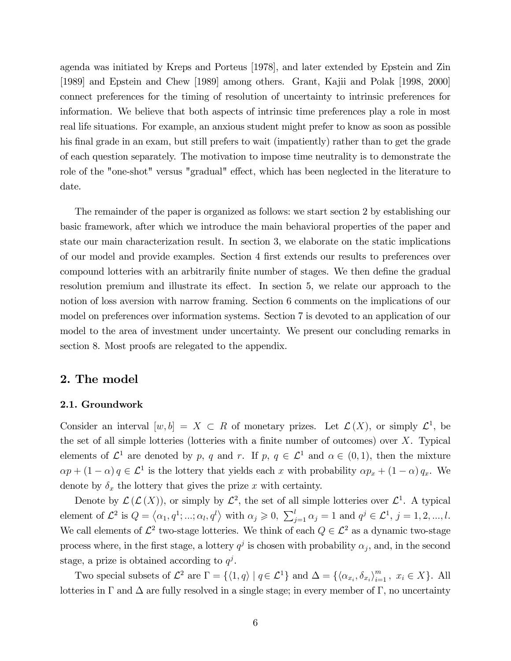agenda was initiated by Kreps and Porteus [1978], and later extended by Epstein and Zin [1989] and Epstein and Chew [1989] among others. Grant, Kajii and Polak [1998, 2000] connect preferences for the timing of resolution of uncertainty to intrinsic preferences for information. We believe that both aspects of intrinsic time preferences play a role in most real life situations. For example, an anxious student might prefer to know as soon as possible his final grade in an exam, but still prefers to wait (impatiently) rather than to get the grade of each question separately. The motivation to impose time neutrality is to demonstrate the role of the "one-shot" versus "gradual" effect, which has been neglected in the literature to date.

The remainder of the paper is organized as follows: we start section 2 by establishing our basic framework, after which we introduce the main behavioral properties of the paper and state our main characterization result. In section 3, we elaborate on the static implications of our model and provide examples. Section 4 first extends our results to preferences over compound lotteries with an arbitrarily finite number of stages. We then define the gradual resolution premium and illustrate its effect. In section 5, we relate our approach to the notion of loss aversion with narrow framing. Section 6 comments on the implications of our model on preferences over information systems. Section 7 is devoted to an application of our model to the area of investment under uncertainty. We present our concluding remarks in section 8. Most proofs are relegated to the appendix.

#### 2. The model

#### 2.1. Groundwork

Consider an interval  $[w, b] = X \subset R$  of monetary prizes. Let  $\mathcal{L}(X)$ , or simply  $\mathcal{L}^1$ , be the set of all simple lotteries (lotteries with a finite number of outcomes) over  $X$ . Typical elements of  $\mathcal{L}^1$  are denoted by p, q and r. If p,  $q \in \mathcal{L}^1$  and  $\alpha \in (0,1)$ , then the mixture  $\alpha p + (1 - \alpha) q \in \mathcal{L}^1$  is the lottery that yields each x with probability  $\alpha p_x + (1 - \alpha) q_x$ . We denote by  $\delta_x$  the lottery that gives the prize x with certainty.

Denote by  $\mathcal{L}(\mathcal{L}(X))$ , or simply by  $\mathcal{L}^2$ , the set of all simple lotteries over  $\mathcal{L}^1$ . A typical element of  $\mathcal{L}^2$  is  $Q = \langle \alpha_1, q^1; \dots; \alpha_l, q^l \rangle$  with  $\alpha_j \geqslant 0, \sum_{j=1}^l \alpha_j = 1$  and  $q^j \in \mathcal{L}^1, j = 1, 2, \dots, l$ . We call elements of  $\mathcal{L}^2$  two-stage lotteries. We think of each  $Q \in \mathcal{L}^2$  as a dynamic two-stage process where, in the first stage, a lottery  $q^j$  is chosen with probability  $\alpha_j$ , and, in the second stage, a prize is obtained according to  $q^j$ .

Two special subsets of  $\mathcal{L}^2$  are  $\Gamma = \{ \langle 1, q \rangle \mid q \in \mathcal{L}^1 \}$  and  $\Delta = \{ \langle \alpha_{x_i}, \delta_{x_i} \rangle_{i=1}^m, x_i \in X \}$ . All lotteries in  $\Gamma$  and  $\Delta$  are fully resolved in a single stage; in every member of  $\Gamma$ , no uncertainty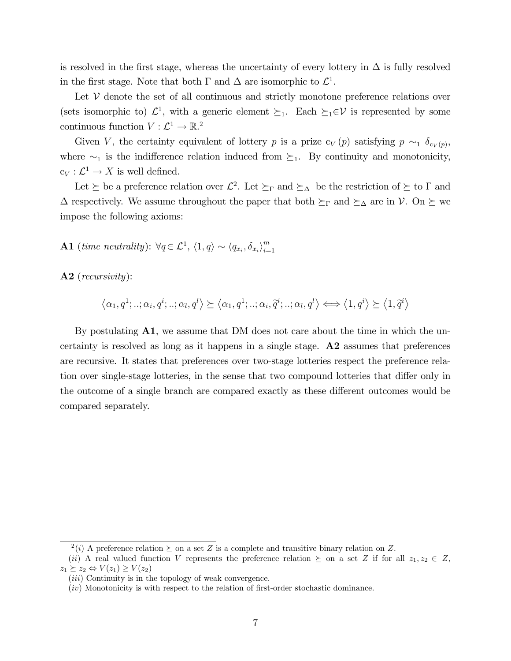is resolved in the first stage, whereas the uncertainty of every lottery in  $\Delta$  is fully resolved in the first stage. Note that both  $\Gamma$  and  $\Delta$  are isomorphic to  $\mathcal{L}^1$ .

Let  $V$  denote the set of all continuous and strictly monotone preference relations over (sets isomorphic to)  $\mathcal{L}^1$ , with a generic element  $\succeq_1$ . Each  $\succeq_1\in\mathcal{V}$  is represented by some continuous function  $V : \mathcal{L}^1 \to \mathbb{R}^2$ 

Given V, the certainty equivalent of lottery p is a prize  $c_V(p)$  satisfying  $p \sim_1 \delta_{c_V(p)}$ , where  $\sim_1$  is the indifference relation induced from  $\succeq_1$ . By continuity and monotonicity,  $c_V: \mathcal{L}^1 \to X$  is well defined.

Let  $\succeq$  be a preference relation over  $\mathcal{L}^2$ . Let  $\succeq_{\Gamma}$  and  $\succeq_{\Delta}$  be the restriction of  $\succeq$  to  $\Gamma$  and  $\Delta$  respectively. We assume throughout the paper that both  $\succeq_{\Gamma}$  and  $\succeq_{\Delta}$  are in V. On  $\succeq$  we impose the following axioms:

**A1** (time neutrality):  $\forall q \in \mathcal{L}^1$ ,  $\langle 1, q \rangle \sim \langle q_{x_i}, \delta_{x_i} \rangle_{i=1}^m$  $i=1$ 

A2 (*recursivity*):

 $\langle \alpha_1, q^1; \dots; \alpha_i, q^i; \dots; \alpha_l, q^l \rangle \succeq \langle \alpha_1, q^1; \dots; \alpha_i, \tilde{q}^i; \dots; \alpha_l, q^l \rangle \Longleftrightarrow \langle 1, q^i \rangle \succeq \langle 1, \tilde{q}^i \rangle$ 

By postulating  $\mathbf{A}1$ , we assume that DM does not care about the time in which the uncertainty is resolved as long as it happens in a single stage. A2 assumes that preferences are recursive. It states that preferences over two-stage lotteries respect the preference relation over single-stage lotteries, in the sense that two compound lotteries that differ only in the outcome of a single branch are compared exactly as these different outcomes would be compared separately.

<sup>&</sup>lt;sup>2</sup>(i) A preference relation  $\succeq$  on a set Z is a complete and transitive binary relation on Z.

<sup>(</sup>ii) A real valued function V represents the preference relation  $\succeq$  on a set Z if for all  $z_1, z_2 \in Z$ ,  $z_1 \succeq z_2 \Leftrightarrow V(z_1) \geq V(z_2)$ 

<sup>(</sup>*iii*) Continuity is in the topology of weak convergence.

 $(iv)$  Monotonicity is with respect to the relation of first-order stochastic dominance.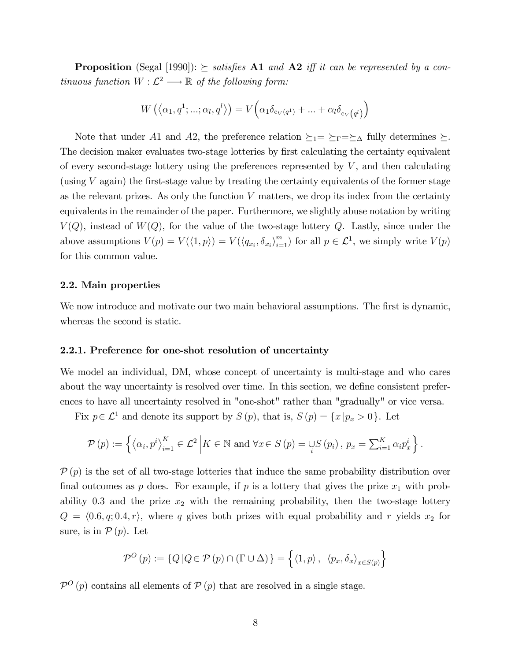**Proposition** (Segal [1990]):  $\succeq$  satisfies A1 and A2 iff it can be represented by a continuous function  $W: \mathcal{L}^2 \longrightarrow \mathbb{R}$  of the following form:

$$
W\left(\left\langle \alpha_1, q^1; \ldots; \alpha_l, q^l \right\rangle\right) = V\left(\alpha_1 \delta_{c_V(q^1)} + \ldots + \alpha_l \delta_{c_V(q^l)}\right)
$$

Note that under A1 and A2, the preference relation  $\succeq_1 = \succeq_r = \succeq_\Delta$  fully determines  $\succeq$ . The decision maker evaluates two-stage lotteries by first calculating the certainty equivalent of every second-stage lottery using the preferences represented by  $V$ , and then calculating (using  $V$  again) the first-stage value by treating the certainty equivalents of the former stage as the relevant prizes. As only the function  $V$  matters, we drop its index from the certainty equivalents in the remainder of the paper. Furthermore, we slightly abuse notation by writing  $V(Q)$ , instead of  $W(Q)$ , for the value of the two-stage lottery Q. Lastly, since under the above assumptions  $V(p) = V(\langle 1, p \rangle) = V(\langle q_{x_i}, \delta_{x_i} \rangle_{i=1}^m)$  for all  $p \in \mathcal{L}^1$ , we simply write  $V(p)$ for this common value.

#### 2.2. Main properties

We now introduce and motivate our two main behavioral assumptions. The first is dynamic, whereas the second is static.

#### 2.2.1. Preference for one-shot resolution of uncertainty

We model an individual, DM, whose concept of uncertainty is multi-stage and who cares about the way uncertainty is resolved over time. In this section, we define consistent preferences to have all uncertainty resolved in "one-shot" rather than "gradually" or vice versa.

Fix  $p \in \mathcal{L}^1$  and denote its support by  $S(p)$ , that is,  $S(p) = \{x | p_x > 0\}$ . Let

$$
\mathcal{P}(p) := \left\{ \left\langle \alpha_i, p^i \right\rangle_{i=1}^K \in \mathcal{L}^2 \, \middle| \, K \in \mathbb{N} \text{ and } \forall x \in S(p) = \bigcup_i S(p_i), \, p_x = \sum_{i=1}^K \alpha_i p_x^i \right\}.
$$

 $\mathcal{P}(p)$  is the set of all two-stage lotteries that induce the same probability distribution over final outcomes as p does. For example, if p is a lottery that gives the prize  $x_1$  with probability 0.3 and the prize  $x_2$  with the remaining probability, then the two-stage lottery  $Q = \langle 0.6, q; 0.4, r \rangle$ , where q gives both prizes with equal probability and r yields  $x_2$  for sure, is in  $P(p)$ . Let

$$
\mathcal{P}^O(p) := \{ Q | Q \in \mathcal{P}(p) \cap (\Gamma \cup \Delta) \} = \{ \langle 1, p \rangle, \langle p_x, \delta_x \rangle_{x \in S(p)} \}
$$

 $\mathcal{P}^{\mathcal{O}}(p)$  contains all elements of  $\mathcal{P}(p)$  that are resolved in a single stage.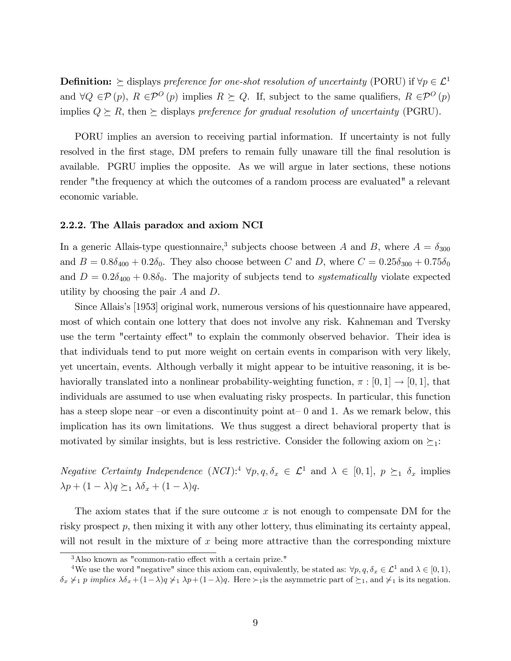**Definition:**  $\succeq$  displays preference for one-shot resolution of uncertainty (PORU) if  $\forall p \in \mathcal{L}^1$ and  $\forall Q \in \mathcal{P}(p)$ ,  $R \in \mathcal{P}^O(p)$  implies  $R \succeq Q$ . If, subject to the same qualifiers,  $R \in \mathcal{P}^O(p)$ implies  $Q \succeq R$ , then  $\succeq$  displays preference for gradual resolution of uncertainty (PGRU).

PORU implies an aversion to receiving partial information. If uncertainty is not fully resolved in the first stage, DM prefers to remain fully unaware till the final resolution is available. PGRU implies the opposite. As we will argue in later sections, these notions render "the frequency at which the outcomes of a random process are evaluated" a relevant economic variable.

#### 2.2.2. The Allais paradox and axiom NCI

In a generic Allais-type questionnaire,<sup>3</sup> subjects choose between A and B, where  $A = \delta_{300}$ and  $B = 0.8\delta_{400} + 0.2\delta_0$ . They also choose between C and D, where  $C = 0.25\delta_{300} + 0.75\delta_0$ and  $D = 0.2\delta_{400} + 0.8\delta_0$ . The majority of subjects tend to *systematically* violate expected utility by choosing the pair A and D.

Since Allais's [1953] original work, numerous versions of his questionnaire have appeared, most of which contain one lottery that does not involve any risk. Kahneman and Tversky use the term "certainty effect" to explain the commonly observed behavior. Their idea is that individuals tend to put more weight on certain events in comparison with very likely, yet uncertain, events. Although verbally it might appear to be intuitive reasoning, it is behaviorally translated into a nonlinear probability-weighting function,  $\pi : [0, 1] \rightarrow [0, 1]$ , that individuals are assumed to use when evaluating risky prospects. In particular, this function has a steep slope near –or even a discontinuity point at–0 and 1. As we remark below, this implication has its own limitations. We thus suggest a direct behavioral property that is motivated by similar insights, but is less restrictive. Consider the following axiom on  $\succeq_1$ :

Negative Certainty Independence  $(NCI):$ <sup>4</sup>  $\forall p, q, \delta_x \in \mathcal{L}^1$  and  $\lambda \in [0, 1], p \succeq_1 \delta_x$  implies  $\lambda p + (1 - \lambda)q \succeq_1 \lambda \delta_x + (1 - \lambda)q.$ 

The axiom states that if the sure outcome  $x$  is not enough to compensate DM for the risky prospect p, then mixing it with any other lottery, thus eliminating its certainty appeal, will not result in the mixture of  $x$  being more attractive than the corresponding mixture

 $3$ Also known as "common-ratio effect with a certain prize."

<sup>&</sup>lt;sup>4</sup>We use the word "negative" since this axiom can, equivalently, be stated as:  $\forall p, q, \delta_x \in \mathcal{L}^1$  and  $\lambda \in [0, 1)$ ,  $\delta_x \neq_1 p$  implies  $\lambda \delta_x + (1-\lambda)q \neq_1 \lambda p+(1-\lambda)q$ . Here  $\succ_1$  is the asymmetric part of  $\succeq_1$ , and  $\succ_1$  is its negation.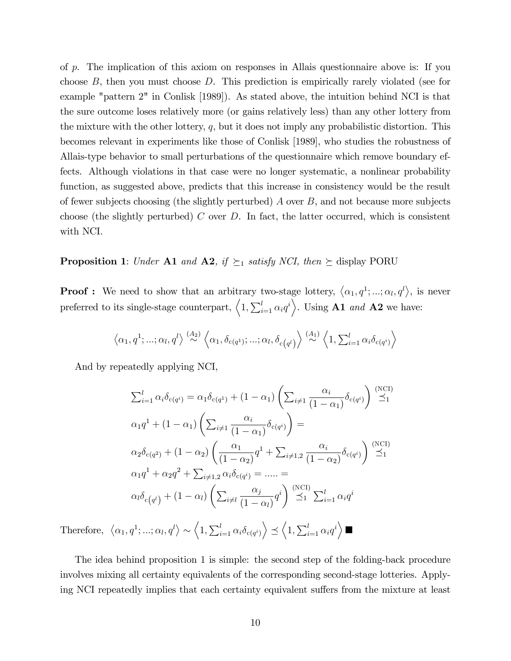of p. The implication of this axiom on responses in Allais questionnaire above is: If you choose B, then you must choose D. This prediction is empirically rarely violated (see for example "pattern 2" in Conlisk [1989]). As stated above, the intuition behind NCI is that the sure outcome loses relatively more (or gains relatively less) than any other lottery from the mixture with the other lottery,  $q$ , but it does not imply any probabilistic distortion. This becomes relevant in experiments like those of Conlisk [1989], who studies the robustness of Allais-type behavior to small perturbations of the questionnaire which remove boundary effects. Although violations in that case were no longer systematic, a nonlinear probability function, as suggested above, predicts that this increase in consistency would be the result of fewer subjects choosing (the slightly perturbed)  $\tilde{A}$  over  $B$ , and not because more subjects choose (the slightly perturbed) C over D. In fact, the latter occurred, which is consistent with NCI.

**Proposition 1:** Under **A1** and **A2**, if  $\succeq_1$  satisfy NCI, then  $\succeq$  display PORU

**Proof :** We need to show that an arbitrary two-stage lottery,  $\langle \alpha_1, q^1; ...; \alpha_l, q^l \rangle$ , is never preferred to its single-stage counterpart,  $\left\langle 1, \sum_{i=1}^{l} \alpha_i q^i \right\rangle$ . Using **A1** and **A2** we have:

$$
\langle \alpha_1, q^1; \ldots; \alpha_l, q^l \rangle \stackrel{(A_2)}{\sim} \langle \alpha_1, \delta_{c(q^1)}; \ldots; \alpha_l, \delta_{c(q^l)} \rangle \stackrel{(A_1)}{\sim} \langle 1, \sum_{i=1}^l \alpha_i \delta_{c(q^i)} \rangle
$$

And by repeatedly applying NCI,

$$
\sum_{i=1}^{l} \alpha_i \delta_{c(q^i)} = \alpha_1 \delta_{c(q^1)} + (1 - \alpha_1) \left( \sum_{i \neq 1} \frac{\alpha_i}{(1 - \alpha_1)} \delta_{c(q^i)} \right) \stackrel{\text{(NCI)}}{\preceq} 1
$$

$$
\alpha_1 q^1 + (1 - \alpha_1) \left( \sum_{i \neq 1} \frac{\alpha_i}{(1 - \alpha_1)} \delta_{c(q^i)} \right) =
$$

$$
\alpha_2 \delta_{c(q^2)} + (1 - \alpha_2) \left( \frac{\alpha_1}{(1 - \alpha_2)} q^1 + \sum_{i \neq 1,2} \frac{\alpha_i}{(1 - \alpha_2)} \delta_{c(q^i)} \right) \stackrel{\text{(NCI)}}{\preceq} 1
$$

$$
\alpha_1 q^1 + \alpha_2 q^2 + \sum_{i \neq 1,2} \alpha_i \delta_{c(q^i)} = \dots =
$$

$$
\alpha_l \delta_{c(q^l)} + (1 - \alpha_l) \left( \sum_{i \neq l} \frac{\alpha_j}{(1 - \alpha_l)} q^i \right) \stackrel{\text{(NCI)}}{\preceq} 1 \sum_{i=1}^l \alpha_i q^i
$$

Therefore,  $\langle \alpha_1, q^1; ...; \alpha_l, q^l \rangle \sim \langle 1, \sum_{i=1}^l \alpha_i \delta_{c(q^i)} \rangle \preceq \langle 1, \sum_{i=1}^l \alpha_i q^i \rangle$ 

The idea behind proposition 1 is simple: the second step of the folding-back procedure involves mixing all certainty equivalents of the corresponding second-stage lotteries. Applying NCI repeatedly implies that each certainty equivalent suffers from the mixture at least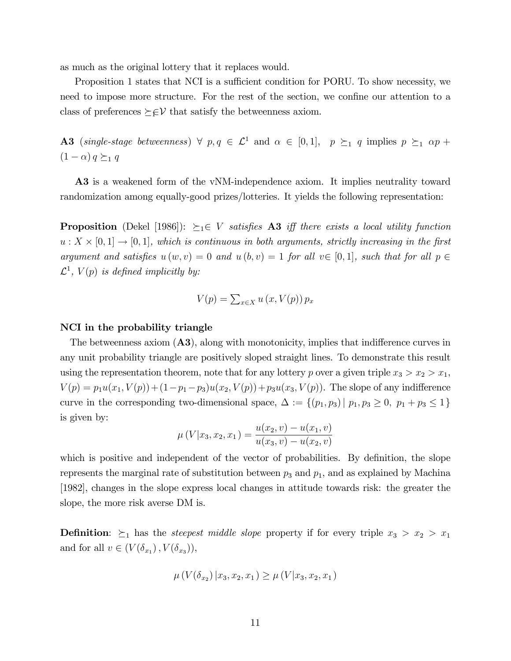as much as the original lottery that it replaces would.

Proposition 1 states that NCI is a sufficient condition for PORU. To show necessity, we need to impose more structure. For the rest of the section, we confine our attention to a class of preferences  $\succeq \in V$  that satisfy the betweenness axiom.

A3 (single-stage betweenness)  $\forall p, q \in \mathcal{L}^1$  and  $\alpha \in [0,1], p \succeq_1 q$  implies  $p \succeq_1 \alpha p +$  $(1 - \alpha) q \succeq_1 q$ 

A3 is a weakened form of the vNM-independence axiom. It implies neutrality toward randomization among equally-good prizes/lotteries. It yields the following representation:

**Proposition** (Dekel [1986]):  $\succeq_1 \in V$  satisfies **A3** iff there exists a local utility function  $u: X \times [0,1] \to [0,1],$  which is continuous in both arguments, strictly increasing in the first argument and satisfies  $u(w, v) = 0$  and  $u(b, v) = 1$  for all  $v \in [0, 1]$ , such that for all  $p \in$  $\mathcal{L}^1$ ,  $V(p)$  is defined implicitly by:

$$
V(p) = \sum_{x \in X} u(x, V(p)) p_x
$$

#### NCI in the probability triangle

The betweenness axiom  $(A3)$ , along with monotonicity, implies that indifference curves in any unit probability triangle are positively sloped straight lines. To demonstrate this result using the representation theorem, note that for any lottery p over a given triple  $x_3 > x_2 > x_1$ ,  $V(p) = p_1u(x_1, V(p)) + (1-p_1-p_3)u(x_2, V(p)) + p_3u(x_3, V(p)).$  The slope of any indifference curve in the corresponding two-dimensional space,  $\Delta := \{(p_1, p_3) | p_1, p_3 \geq 0, p_1 + p_3 \leq 1\}$ is given by:

$$
\mu\left(V|x_3, x_2, x_1\right) = \frac{u(x_2, v) - u(x_1, v)}{u(x_3, v) - u(x_2, v)}
$$

which is positive and independent of the vector of probabilities. By definition, the slope represents the marginal rate of substitution between  $p_3$  and  $p_1$ , and as explained by Machina [1982], changes in the slope express local changes in attitude towards risk: the greater the slope, the more risk averse DM is.

**Definition:**  $\succeq_1$  has the *steepest middle slope* property if for every triple  $x_3 > x_2 > x_1$ and for all  $v \in (V(\delta_{x_1}), V(\delta_{x_3})),$ 

$$
\mu\left(V(\delta_{x_2})\,|x_3,x_2,x_1\right)\geq \mu\left(V|x_3,x_2,x_1\right)
$$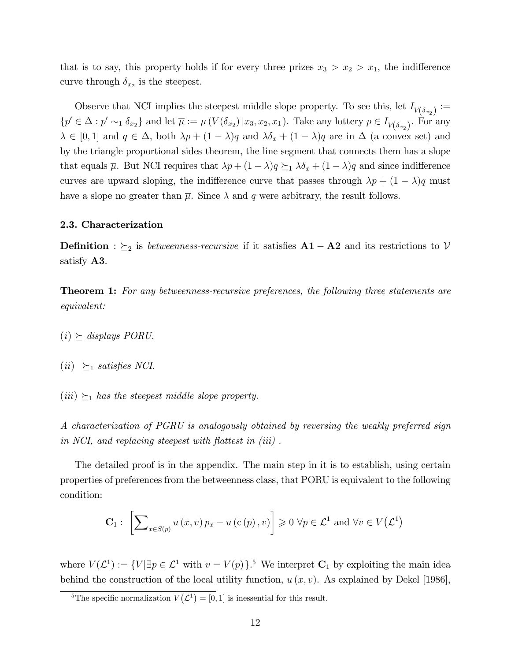that is to say, this property holds if for every three prizes  $x_3 > x_2 > x_1$ , the indifference curve through  $\delta_{x_2}$  is the steepest.

Observe that NCI implies the steepest middle slope property. To see this, let  $I_{V(\delta_{x_2})}$  :=  $\{p' \in \Delta : p' \sim_1 \delta_{x_2}\}\$ and let  $\overline{\mu} := \mu(V(\delta_{x_2}) | x_3, x_2, x_1)$ . Take any lottery  $p \in I_{V(\delta_{x_2})}$ . For any  $\lambda \in [0, 1]$  and  $q \in \Delta$ , both  $\lambda p + (1 - \lambda)q$  and  $\lambda \delta_x + (1 - \lambda)q$  are in  $\Delta$  (a convex set) and by the triangle proportional sides theorem, the line segment that connects them has a slope that equals  $\overline{\mu}$ . But NCI requires that  $\lambda p + (1 - \lambda)q \succeq_1 \lambda \delta_x + (1 - \lambda)q$  and since indifference curves are upward sloping, the indifference curve that passes through  $\lambda p + (1 - \lambda)q$  must have a slope no greater than  $\overline{\mu}$ . Since  $\lambda$  and q were arbitrary, the result follows.

#### 2.3. Characterization

**Definition** :  $\succeq_2$  is *betweenness-recursive* if it satisfies  $A1 - A2$  and its restrictions to V satisfy A3.

**Theorem 1:** For any betweenness-recursive preferences, the following three statements are equivalent:

- $(i) \ge$  displays PORU.
- $(ii) \geq_1 satisfies NCI.$
- $(iii) \succeq_1$  has the steepest middle slope property.

A characterization of PGRU is analogously obtained by reversing the weakly preferred sign in NCI, and replacing steepest with flattest in  $(iii)$ .

The detailed proof is in the appendix. The main step in it is to establish, using certain properties of preferences from the betweenness class, that PORU is equivalent to the following condition:

$$
\mathbf{C}_{1}: \left[\sum\nolimits_{x \in S(p)} u(x,v) p_{x} - u(c(p),v)\right] \geq 0 \,\forall p \in \mathcal{L}^{1} \text{ and } \forall v \in V(\mathcal{L}^{1})
$$

where  $V(\mathcal{L}^1) := \{V | \exists p \in \mathcal{L}^1 \text{ with } v = V(p)\}.$ <sup>5</sup> We interpret  $\mathbf{C}_1$  by exploiting the main idea behind the construction of the local utility function,  $u(x, v)$ . As explained by Dekel [1986],

<sup>&</sup>lt;sup>5</sup>The specific normalization  $V(\mathcal{L}^1) = [0, 1]$  is inessential for this result.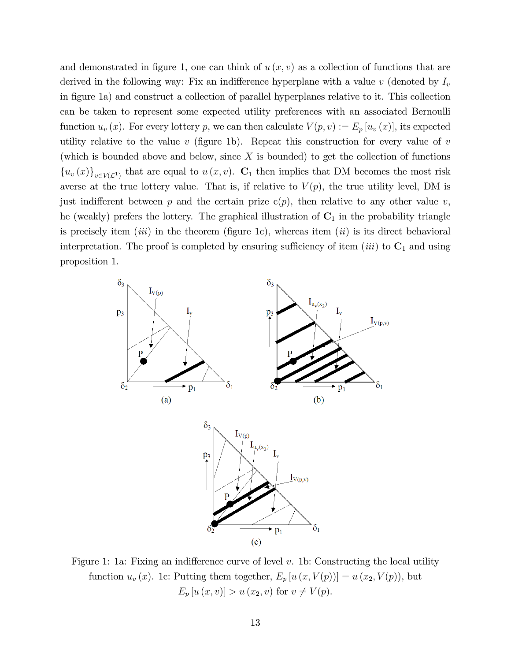and demonstrated in figure 1, one can think of  $u(x, v)$  as a collection of functions that are derived in the following way: Fix an indifference hyperplane with a value  $v$  (denoted by  $I_v$ in figure 1a) and construct a collection of parallel hyperplanes relative to it. This collection can be taken to represent some expected utility preferences with an associated Bernoulli function  $u_v(x)$ . For every lottery p, we can then calculate  $V(p, v) := E_p[u_v(x)]$ , its expected utility relative to the value  $v$  (figure 1b). Repeat this construction for every value of  $v$ (which is bounded above and below, since  $X$  is bounded) to get the collection of functions  ${u_v(x)}_{v \in V(\mathcal{L}^1)}$  that are equal to  $u(x, v)$ .  $\mathbf{C}_1$  then implies that DM becomes the most risk averse at the true lottery value. That is, if relative to  $V(p)$ , the true utility level, DM is just indifferent between p and the certain prize  $c(p)$ , then relative to any other value v, he (weakly) prefers the lottery. The graphical illustration of  $C_1$  in the probability triangle is precisely item *(iii)* in the theorem *(figure 1c)*, whereas item *(ii)* is its direct behavioral interpretation. The proof is completed by ensuring sufficiency of item (iii) to  $C_1$  and using proposition 1.



Figure 1: 1a: Fixing an indifference curve of level  $v$ . 1b: Constructing the local utility function  $u_v(x)$ . 1c: Putting them together,  $E_p[u(x, V(p))] = u(x_2, V(p))$ , but  $E_p[u(x, v)] > u(x_2, v)$  for  $v \neq V(p)$ .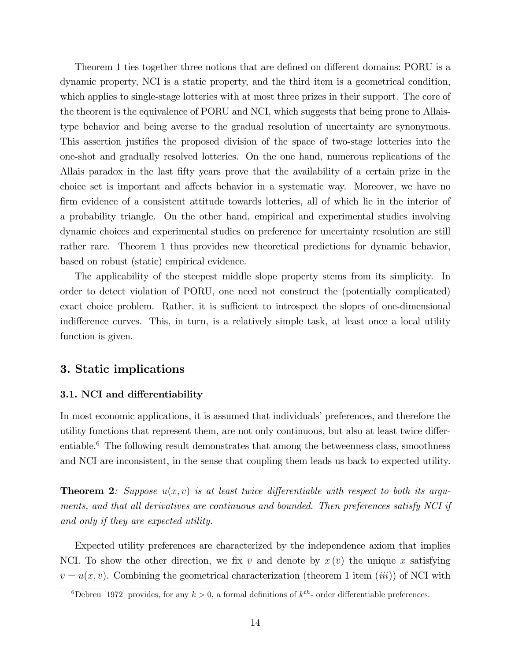Theorem 1 ties together three notions that are defined on different domains: PORU is a dynamic property, NCI is a static property, and the third item is a geometrical condition, which applies to single-stage lotteries with at most three prizes in their support. The core of the theorem is the equivalence of PORU and NCI, which suggests that being prone to Allaistype behavior and being averse to the gradual resolution of uncertainty are synonymous. This assertion justifies the proposed division of the space of two-stage lotteries into the one-shot and gradually resolved lotteries. On the one hand, numerous replications of the Allais paradox in the last Öfty years prove that the availability of a certain prize in the choice set is important and affects behavior in a systematic way. Moreover, we have no firm evidence of a consistent attitude towards lotteries, all of which lie in the interior of a probability triangle. On the other hand, empirical and experimental studies involving dynamic choices and experimental studies on preference for uncertainty resolution are still rather rare. Theorem 1 thus provides new theoretical predictions for dynamic behavior, based on robust (static) empirical evidence.

The applicability of the steepest middle slope property stems from its simplicity. In order to detect violation of PORU, one need not construct the (potentially complicated) exact choice problem. Rather, it is sufficient to introspect the slopes of one-dimensional indifference curves. This, in turn, is a relatively simple task, at least once a local utility function is given.

## 3. Static implications

#### 3.1. NCI and differentiability

In most economic applications, it is assumed that individuals' preferences, and therefore the utility functions that represent them, are not only continuous, but also at least twice differentiable.<sup>6</sup> The following result demonstrates that among the betweenness class, smoothness and NCI are inconsistent, in the sense that coupling them leads us back to expected utility.

**Theorem 2:** Suppose  $u(x, y)$  is at least twice differentiable with respect to both its arguments, and that all derivatives are continuous and bounded. Then preferences satisfy NCI if and only if they are expected utility.

Expected utility preferences are characterized by the independence axiom that implies NCI. To show the other direction, we fix  $\overline{v}$  and denote by  $x(\overline{v})$  the unique x satisfying  $\overline{v} = u(x, \overline{v})$ . Combining the geometrical characterization (theorem 1 item *(iii))* of NCI with

<sup>&</sup>lt;sup>6</sup>Debreu [1972] provides, for any  $k > 0$ , a formal definitions of  $k^{th}$ - order differentiable preferences.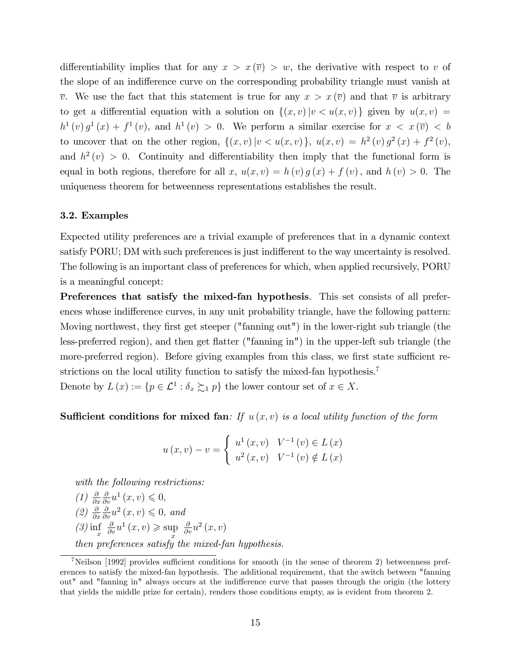differentiability implies that for any  $x > x(\overline{v}) > w$ , the derivative with respect to v of the slope of an indifference curve on the corresponding probability triangle must vanish at  $\overline{v}$ . We use the fact that this statement is true for any  $x > x(\overline{v})$  and that  $\overline{v}$  is arbitrary to get a differential equation with a solution on  $\{(x, v) | v < u(x, v)\}$  given by  $u(x, v) =$  $h^1(v) g^1(x) + f^1(v)$ , and  $h^1(v) > 0$ . We perform a similar exercise for  $x < x(\overline{v}) < b$ to uncover that on the other region,  $\{(x, v) | v < u(x, v)\}\$ ,  $u(x, v) = h^2(v) g^2(x) + f^2(v)$ , and  $h^2(v) > 0$ . Continuity and differentiability then imply that the functional form is equal in both regions, therefore for all x,  $u(x, v) = h(v) g(x) + f(v)$ , and  $h(v) > 0$ . The uniqueness theorem for betweenness representations establishes the result.

#### 3.2. Examples

Expected utility preferences are a trivial example of preferences that in a dynamic context satisfy PORU; DM with such preferences is just indifferent to the way uncertainty is resolved. The following is an important class of preferences for which, when applied recursively, PORU is a meaningful concept:

Preferences that satisfy the mixed-fan hypothesis. This set consists of all preferences whose indifference curves, in any unit probability triangle, have the following pattern: Moving northwest, they first get steeper ("fanning out") in the lower-right sub triangle (the less-preferred region), and then get flatter ("fanning in") in the upper-left sub triangle (the more-preferred region). Before giving examples from this class, we first state sufficient restrictions on the local utility function to satisfy the mixed-fan hypothesis.<sup>7</sup> Denote by  $L(x) := \{p \in \mathcal{L}^1 : \delta_x \succsim_1 p\}$  the lower contour set of  $x \in X$ .

**Sufficient conditions for mixed fan**: If  $u(x, v)$  is a local utility function of the form

$$
u(x,v) - v = \begin{cases} u^{1}(x,v) & V^{-1}(v) \in L(x) \\ u^{2}(x,v) & V^{-1}(v) \notin L(x) \end{cases}
$$

with the following restrictions:

 $(1) \frac{\partial}{\partial x}$  $\frac{\partial}{\partial v}u^1(x,v)\leqslant 0,$  $(2) \frac{\partial}{\partial x}$  $\frac{\partial}{\partial v}u^2(x,v)\leqslant 0$ , and  $\binom{3}{x}$  inf  $\frac{\partial}{\partial v}u^1(x,v) \geqslant \sup \frac{\partial}{\partial v}u^2(x,v)$ then preferences satisfy the mixed-fan hypothesis.

 $7$ Neilson [1992] provides sufficient conditions for smooth (in the sense of theorem 2) betweenness preferences to satisfy the mixed-fan hypothesis. The additional requirement, that the switch between "fanning out" and "fanning in" always occurs at the indifference curve that passes through the origin (the lottery that yields the middle prize for certain), renders those conditions empty, as is evident from theorem 2.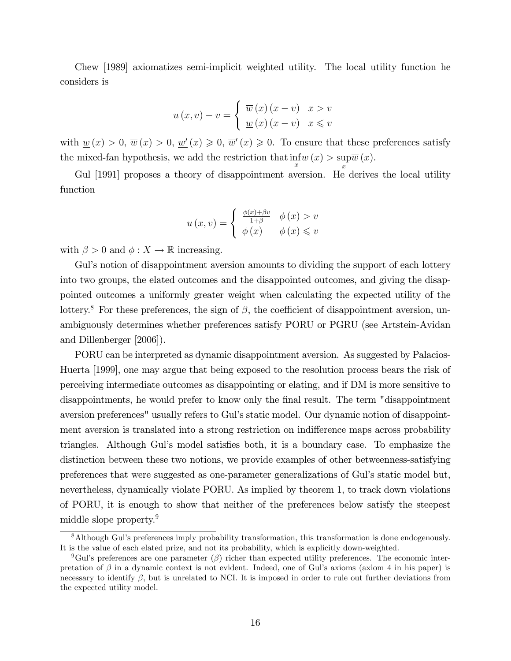Chew [1989] axiomatizes semi-implicit weighted utility. The local utility function he considers is

$$
u(x,v) - v = \begin{cases} \overline{w}(x)(x-v) & x > v \\ \underline{w}(x)(x-v) & x \leq v \end{cases}
$$

with  $\underline{w}(x) > 0$ ,  $\overline{w}(x) > 0$ ,  $\underline{w}'(x) \geq 0$ ,  $\overline{w}'(x) \geq 0$ . To ensure that these preferences satisfy the mixed-fan hypothesis, we add the restriction that  $\inf_{x} w(x) > \sup_{x} w(x)$  $\overline{w}(x).$ 

x Gul [1991] proposes a theory of disappointment aversion. He derives the local utility function

$$
u(x,v) = \begin{cases} \frac{\phi(x) + \beta v}{1 + \beta} & \phi(x) > v \\ \phi(x) & \phi(x) \leq v \end{cases}
$$

with  $\beta > 0$  and  $\phi: X \to \mathbb{R}$  increasing.

Gul's notion of disappointment aversion amounts to dividing the support of each lottery into two groups, the elated outcomes and the disappointed outcomes, and giving the disappointed outcomes a uniformly greater weight when calculating the expected utility of the lottery.<sup>8</sup> For these preferences, the sign of  $\beta$ , the coefficient of disappointment aversion, unambiguously determines whether preferences satisfy PORU or PGRU (see Artstein-Avidan and Dillenberger [2006]).

PORU can be interpreted as dynamic disappointment aversion. As suggested by Palacios-Huerta [1999], one may argue that being exposed to the resolution process bears the risk of perceiving intermediate outcomes as disappointing or elating, and if DM is more sensitive to disappointments, he would prefer to know only the final result. The term "disappointment" aversion preferences" usually refers to Gul's static model. Our dynamic notion of disappointment aversion is translated into a strong restriction on indifference maps across probability triangles. Although Gul's model satisfies both, it is a boundary case. To emphasize the distinction between these two notions, we provide examples of other betweenness-satisfying preferences that were suggested as one-parameter generalizations of Gulís static model but, nevertheless, dynamically violate PORU. As implied by theorem 1, to track down violations of PORU, it is enough to show that neither of the preferences below satisfy the steepest middle slope property.<sup>9</sup>

<sup>8</sup>Although Gulís preferences imply probability transformation, this transformation is done endogenously. It is the value of each elated prize, and not its probability, which is explicitly down-weighted.

<sup>&</sup>lt;sup>9</sup>Gul's preferences are one parameter  $(\beta)$  richer than expected utility preferences. The economic interpretation of  $\beta$  in a dynamic context is not evident. Indeed, one of Gul's axioms (axiom 4 in his paper) is necessary to identify  $\beta$ , but is unrelated to NCI. It is imposed in order to rule out further deviations from the expected utility model.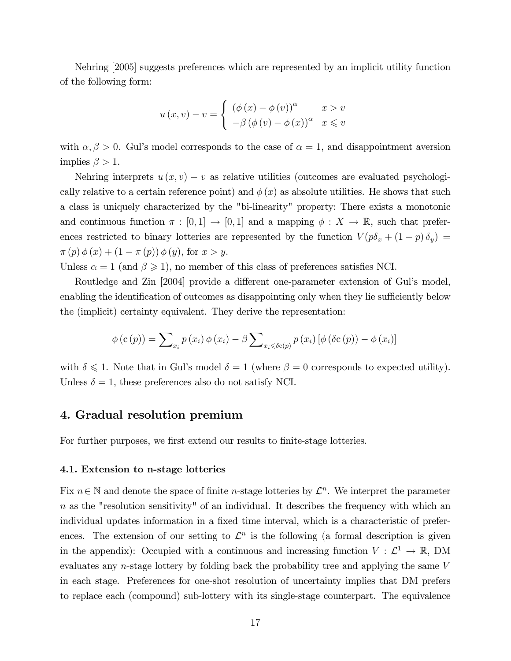Nehring [2005] suggests preferences which are represented by an implicit utility function of the following form:

$$
u(x,v) - v = \begin{cases} (\phi(x) - \phi(v))^{\alpha} & x > v \\ -\beta (\phi(v) - \phi(x))^{\alpha} & x \leq v \end{cases}
$$

with  $\alpha, \beta > 0$ . Gul's model corresponds to the case of  $\alpha = 1$ , and disappointment aversion implies  $\beta > 1$ .

Nehring interprets  $u(x, v) - v$  as relative utilities (outcomes are evaluated psychologically relative to a certain reference point) and  $\phi(x)$  as absolute utilities. He shows that such a class is uniquely characterized by the "bi-linearity" property: There exists a monotonic and continuous function  $\pi : [0,1] \to [0,1]$  and a mapping  $\phi : X \to \mathbb{R}$ , such that preferences restricted to binary lotteries are represented by the function  $V(p\delta_x + (1-p)\delta_y)$  $\pi(p) \phi(x) + (1 - \pi(p)) \phi(y)$ , for  $x > y$ .

Unless  $\alpha = 1$  (and  $\beta \geq 1$ ), no member of this class of preferences satisfies NCI.

Routledge and Zin [2004] provide a different one-parameter extension of Gul's model, enabling the identification of outcomes as disappointing only when they lie sufficiently below the (implicit) certainty equivalent. They derive the representation:

$$
\phi(c(p)) = \sum_{x_i} p(x_i) \phi(x_i) - \beta \sum_{x_i \le \delta c(p)} p(x_i) [\phi(\delta c(p)) - \phi(x_i)]
$$

with  $\delta \leq 1$ . Note that in Gul's model  $\delta = 1$  (where  $\beta = 0$  corresponds to expected utility). Unless  $\delta = 1$ , these preferences also do not satisfy NCI.

## 4. Gradual resolution premium

For further purposes, we first extend our results to finite-stage lotteries.

#### 4.1. Extension to n-stage lotteries

Fix  $n \in \mathbb{N}$  and denote the space of finite *n*-stage lotteries by  $\mathcal{L}^n$ . We interpret the parameter  $n$  as the "resolution sensitivity" of an individual. It describes the frequency with which an individual updates information in a fixed time interval, which is a characteristic of preferences. The extension of our setting to  $\mathcal{L}^n$  is the following (a formal description is given in the appendix): Occupied with a continuous and increasing function  $V : \mathcal{L}^1 \to \mathbb{R}$ , DM evaluates any n-stage lottery by folding back the probability tree and applying the same V in each stage. Preferences for one-shot resolution of uncertainty implies that DM prefers to replace each (compound) sub-lottery with its single-stage counterpart. The equivalence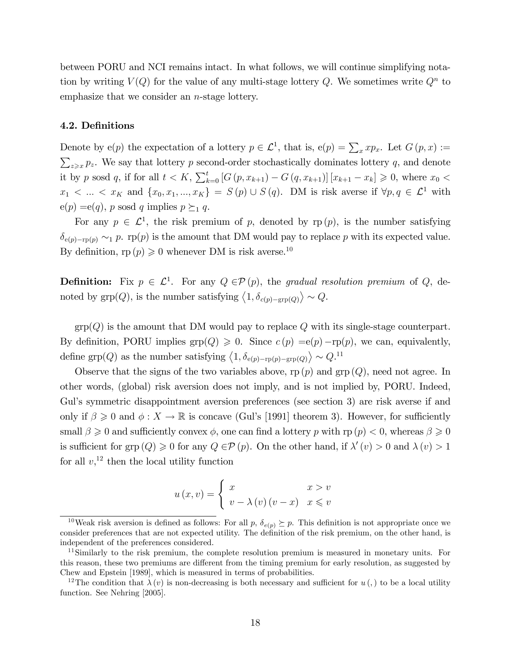between PORU and NCI remains intact. In what follows, we will continue simplifying notation by writing  $V(Q)$  for the value of any multi-stage lottery Q. We sometimes write  $Q<sup>n</sup>$  to emphasize that we consider an n-stage lottery.

#### 4.2. Definitions

Denote by  $e(p)$  the expectation of a lottery  $p \in \mathcal{L}^1$ , that is,  $e(p) = \sum_x x p_x$ . Let  $G(p, x) :=$  $\sum_{z\geqslant x} p_z$ . We say that lottery p second-order stochastically dominates lottery q, and denote it by p sosd q, if for all  $t < K$ ,  $\sum_{k=0}^{t} [G(p, x_{k+1}) - G(q, x_{k+1})] [x_{k+1} - x_k] \geq 0$ , where  $x_0 <$  $x_1 < ... < x_K$  and  $\{x_0, x_1, ..., x_K\} = S(p) \cup S(q)$ . DM is risk averse if  $\forall p, q \in \mathcal{L}^1$  with  $e(p) = e(q)$ , p sosd q implies  $p \succeq_1 q$ .

For any  $p \in \mathcal{L}^1$ , the risk premium of p, denoted by rp  $(p)$ , is the number satisfying  $\delta_{e(p)-rp(p)} \sim_1 p$ . rp(p) is the amount that DM would pay to replace p with its expected value. By definition,  $rp(p) \geq 0$  whenever DM is risk averse.<sup>10</sup>

**Definition:** Fix  $p \in \mathcal{L}^1$ . For any  $Q \in \mathcal{P}(p)$ , the gradual resolution premium of Q, denoted by  $\text{grp}(Q)$ , is the number satisfying  $\langle 1, \delta_{c(p)-\text{grp}(Q)} \rangle \sim Q$ .

 $\text{grp}(Q)$  is the amount that DM would pay to replace Q with its single-stage counterpart. By definition, PORU implies  $\text{grp}(Q) \geq 0$ . Since  $c(p) = e(p) - \text{rp}(p)$ , we can, equivalently, define grp(Q) as the number satisfying  $\langle 1, \delta_{e(p)-rp(p)-grp(Q)} \rangle \sim Q^{11}$ 

Observe that the signs of the two variables above,  $rp(p)$  and  $gp(Q)$ , need not agree. In other words, (global) risk aversion does not imply, and is not implied by, PORU. Indeed, Gul's symmetric disappointment aversion preferences (see section 3) are risk averse if and only if  $\beta \geq 0$  and  $\phi: X \to \mathbb{R}$  is concave (Gul's [1991] theorem 3). However, for sufficiently small  $\beta \geqslant 0$  and sufficiently convex  $\phi$ , one can find a lottery p with rp  $(p) < 0$ , whereas  $\beta \geqslant 0$ is sufficient for grp  $(Q) \geq 0$  for any  $Q \in \mathcal{P}(p)$ . On the other hand, if  $\lambda'(v) > 0$  and  $\lambda(v) > 1$ for all  $v<sub>1</sub><sup>12</sup>$  then the local utility function

$$
u(x,v) = \begin{cases} x & x > v \\ v - \lambda(v) (v - x) & x \leq v \end{cases}
$$

<sup>&</sup>lt;sup>10</sup>Weak risk aversion is defined as follows: For all p,  $\delta_{e(p)} \succeq p$ . This definition is not appropriate once we consider preferences that are not expected utility. The definition of the risk premium, on the other hand, is independent of the preferences considered.

 $11$ Similarly to the risk premium, the complete resolution premium is measured in monetary units. For this reason, these two premiums are different from the timing premium for early resolution, as suggested by Chew and Epstein [1989], which is measured in terms of probabilities.

<sup>&</sup>lt;sup>12</sup>The condition that  $\lambda(v)$  is non-decreasing is both necessary and sufficient for  $u(.)$  to be a local utility function. See Nehring [2005].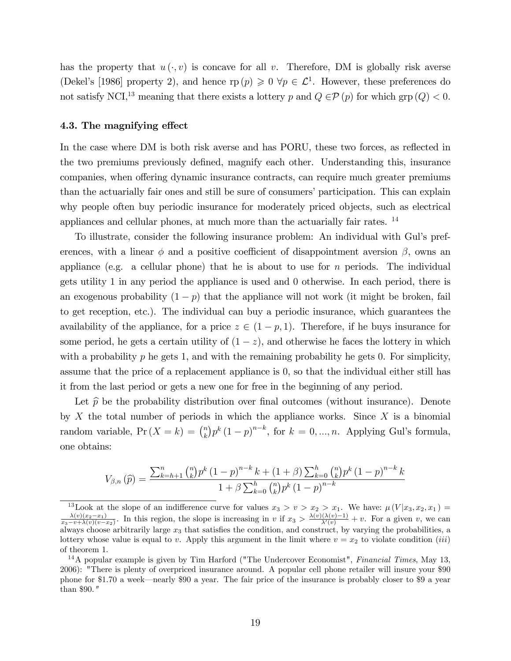has the property that  $u(\cdot, v)$  is concave for all v. Therefore, DM is globally risk averse (Dekel's [1986] property 2), and hence  $rp(p) \geqslant 0 \ \forall p \in \mathcal{L}^1$ . However, these preferences do not satisfy NCI,<sup>13</sup> meaning that there exists a lottery p and  $Q \in \mathcal{P}(p)$  for which grp  $(Q) < 0$ .

#### 4.3. The magnifying effect

In the case where DM is both risk averse and has PORU, these two forces, as reflected in the two premiums previously defined, magnify each other. Understanding this, insurance companies, when offering dynamic insurance contracts, can require much greater premiums than the actuarially fair ones and still be sure of consumers' participation. This can explain why people often buy periodic insurance for moderately priced objects, such as electrical appliances and cellular phones, at much more than the actuarially fair rates. <sup>14</sup>

To illustrate, consider the following insurance problem: An individual with Gulís preferences, with a linear  $\phi$  and a positive coefficient of disappointment aversion  $\beta$ , owns an appliance (e.g. a cellular phone) that he is about to use for  $n$  periods. The individual gets utility 1 in any period the appliance is used and 0 otherwise. In each period, there is an exogenous probability  $(1 - p)$  that the appliance will not work (it might be broken, fail to get reception, etc.). The individual can buy a periodic insurance, which guarantees the availability of the appliance, for a price  $z \in (1 - p, 1)$ . Therefore, if he buys insurance for some period, he gets a certain utility of  $(1 - z)$ , and otherwise he faces the lottery in which with a probability  $p$  he gets 1, and with the remaining probability he gets 0. For simplicity, assume that the price of a replacement appliance is 0, so that the individual either still has it from the last period or gets a new one for free in the beginning of any period.

Let  $\hat{p}$  be the probability distribution over final outcomes (without insurance). Denote by X the total number of periods in which the appliance works. Since X is a binomial random variable,  $Pr(X = k) = {n \choose k}$  $(k)$   $p^k$   $(1-p)^{n-k}$ , for  $k = 0, ..., n$ . Applying Gul's formula, one obtains:

$$
V_{\beta,n}(\hat{p}) = \frac{\sum_{k=h+1}^{n} {n \choose k} p^k (1-p)^{n-k} k + (1+\beta) \sum_{k=0}^{h} {n \choose k} p^k (1-p)^{n-k} k}{1+\beta \sum_{k=0}^{h} {n \choose k} p^k (1-p)^{n-k}}
$$

<sup>&</sup>lt;sup>13</sup>Look at the slope of an indifference curve for values  $x_3 > v > x_2 > x_1$ . We have:  $\mu(V|x_3, x_2, x_1) = \lambda(v)(x_2-x_1)$  In this position, the slope is increasing in it  $x > \lambda(v)(\lambda(v)-1) + v$ . For a given it we say  $\frac{\lambda(v)(x_2-x_1)}{x_3-v+\lambda(v)(v-x_2)}$ . In this region, the slope is increasing in v if  $x_3 > \frac{\lambda(v)(\lambda(v)-1)}{\lambda'(v)}$  $\frac{(\lambda(v)-1)}{\lambda'(v)} + v$ . For a given v, we can always choose arbitrarily large  $x_3$  that satisfies the condition, and construct, by varying the probabilities, a lottery whose value is equal to v. Apply this argument in the limit where  $v = x_2$  to violate condition *(iii)* of theorem 1.

 $14A$  popular example is given by Tim Harford ("The Undercover Economist", Financial Times, May 13, 2006): "There is plenty of overpriced insurance around. A popular cell phone retailer will insure your \$90 phone for \$1.70 a week—nearly \$90 a year. The fair price of the insurance is probably closer to \$9 a year. than \$90."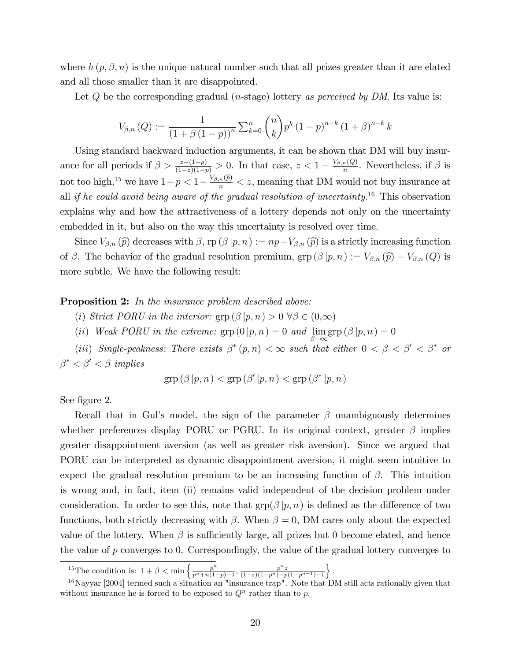where  $h(p, \beta, n)$  is the unique natural number such that all prizes greater than it are elated and all those smaller than it are disappointed.

Let  $Q$  be the corresponding gradual (*n*-stage) lottery as perceived by DM. Its value is:

$$
V_{\beta,n}(Q) := \frac{1}{(1+\beta(1-p))^n} \sum_{k=0}^n {n \choose k} p^k (1-p)^{n-k} (1+\beta)^{n-k} k
$$

Using standard backward induction arguments, it can be shown that DM will buy insurance for all periods if  $\beta > \frac{z-(1-p)}{(1-z)(1-p)} > 0$ . In that case,  $z < 1 - \frac{V_{\beta,n}(Q)}{n}$  $\frac{n(Q)}{n}$ . Nevertheless, if  $\beta$  is not too high,<sup>15</sup> we have  $1-p < 1-\frac{V_{\beta,n}(\hat{p})}{n} < z$ , meaning that DM would not buy insurance at all if he could avoid being aware of the gradual resolution of uncertainty.<sup>16</sup> This observation explains why and how the attractiveness of a lottery depends not only on the uncertainty embedded in it, but also on the way this uncertainty is resolved over time.

Since  $V_{\beta,n}(\widehat{p})$  decreases with  $\beta$ ,  $\text{rp}(\beta | p, n) := np - V_{\beta,n}(\widehat{p})$  is a strictly increasing function of  $\beta$ . The behavior of the gradual resolution premium,  $\text{grp}(\beta | p, n) := V_{\beta,n}(\widehat{p}) - V_{\beta,n}(Q)$  is more subtle. We have the following result:

#### **Proposition 2:** In the insurance problem described above:

(i) Strict PORU in the interior:  $\text{grp}(\beta | p, n) > 0 \ \forall \beta \in (0, \infty)$ 

(ii) Weak PORU in the extreme:  $\text{grp}(0|p,n) = 0$  and  $\lim_{\beta \to \infty} \text{grp}(\beta|p,n) = 0$ 

(iii) Single-peakness: There exists  $\beta^*(p,n) < \infty$  such that either  $0 < \beta < \beta' < \beta^*$  or  $\beta^* < \beta' < \beta$  implies

$$
\operatorname{grp}(\beta | p, n) < \operatorname{grp}(\beta' | p, n) < \operatorname{grp}(\beta^* | p, n)
$$

See figure 2.

Recall that in Gul's model, the sign of the parameter  $\beta$  unambiguously determines whether preferences display PORU or PGRU. In its original context, greater  $\beta$  implies greater disappointment aversion (as well as greater risk aversion). Since we argued that PORU can be interpreted as dynamic disappointment aversion, it might seem intuitive to expect the gradual resolution premium to be an increasing function of  $\beta$ . This intuition is wrong and, in fact, item (ii) remains valid independent of the decision problem under consideration. In order to see this, note that  $\text{grp}(\beta | p, n)$  is defined as the difference of two functions, both strictly decreasing with  $\beta$ . When  $\beta = 0$ , DM cares only about the expected value of the lottery. When  $\beta$  is sufficiently large, all prizes but 0 become elated, and hence the value of  $p$  converges to 0. Correspondingly, the value of the gradual lottery converges to

<sup>&</sup>lt;sup>15</sup>The condition is:  $1 + \beta < \min \left\{ \frac{p^n}{n^n + n(1-p)} \right\}$  $\frac{p^n}{p^n+n(1-p)-1}$ ,  $\frac{p^nz}{(1-z)(1-p^n)-p}$  $\overline{(1-z)(1-p^n)-p(1-p^{n-1})-1}$  $\big\}$ .

 $^{16}$ Nayyar [2004] termed such a situation an "insurance trap". Note that DM still acts rationally given that without insurance he is forced to be exposed to  $Q<sup>n</sup>$  rather than to p.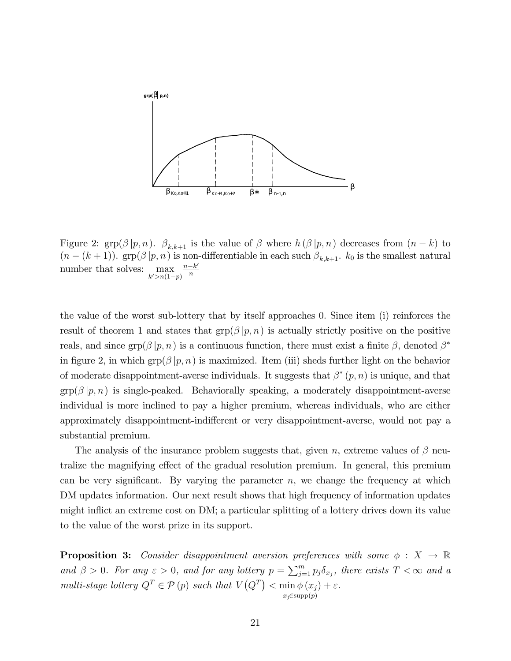

Figure 2:  $\text{grp}(\beta | p, n)$ .  $\beta_{k,k+1}$  is the value of  $\beta$  where  $h(\beta | p, n)$  decreases from  $(n-k)$  to  $(n-(k+1))$ . grp $(\beta | p, n)$  is non-differentiable in each such  $\beta_{k,k+1}$ .  $k_0$  is the smallest natural number that solves:  $\max_{k' > n(1-p)}$  $n-k'$ n

the value of the worst sub-lottery that by itself approaches 0. Since item (i) reinforces the result of theorem 1 and states that  $\text{grp}(\beta | p, n)$  is actually strictly positive on the positive reals, and since  $\text{grp}(\beta | p, n)$  is a continuous function, there must exist a finite  $\beta$ , denoted  $\beta^*$ in figure 2, in which  $\text{grp}(\beta | p, n)$  is maximized. Item (iii) sheds further light on the behavior of moderate disappointment-averse individuals. It suggests that  $\beta^*(p, n)$  is unique, and that  $\text{grp}(\beta | p, n)$  is single-peaked. Behaviorally speaking, a moderately disappointment-averse individual is more inclined to pay a higher premium, whereas individuals, who are either approximately disappointment-indifferent or very disappointment-averse, would not pay a substantial premium.

The analysis of the insurance problem suggests that, given n, extreme values of  $\beta$  neutralize the magnifying effect of the gradual resolution premium. In general, this premium can be very significant. By varying the parameter  $n$ , we change the frequency at which DM updates information. Our next result shows that high frequency of information updates might inflict an extreme cost on DM; a particular splitting of a lottery drives down its value to the value of the worst prize in its support.

**Proposition 3:** Consider disappointment aversion preferences with some  $\phi : X \to \mathbb{R}$ and  $\beta > 0$ . For any  $\varepsilon > 0$ , and for any lottery  $p = \sum_{j=1}^{m} p_j \delta_{x_j}$ , there exists  $T < \infty$  and a multi-stage lottery  $Q^T \in \mathcal{P}(p)$  such that  $V(Q^T) < \min \phi(x_j) + \varepsilon$ .  $x_j \in \mathrm{supp}(p)$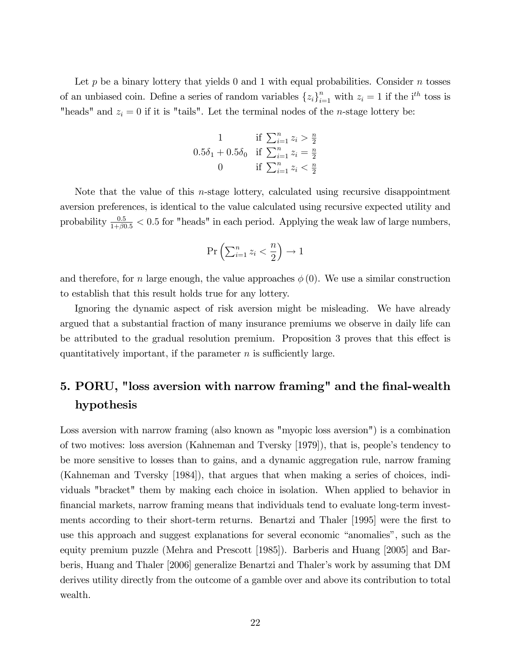Let p be a binary lottery that yields 0 and 1 with equal probabilities. Consider n tosses of an unbiased coin. Define a series of random variables  $\{z_i\}_{i=1}^n$  with  $z_i = 1$  if the i<sup>th</sup> toss is "heads" and  $z_i = 0$  if it is "tails". Let the terminal nodes of the *n*-stage lottery be:

1 if 
$$
\sum_{i=1}^{n} z_i > \frac{n}{2}
$$
  
0.5 $\delta_1$  + 0.5 $\delta_0$  if  $\sum_{i=1}^{n} z_i = \frac{n}{2}$   
0 if  $\sum_{i=1}^{n} z_i < \frac{n}{2}$ 

Note that the value of this  $n$ -stage lottery, calculated using recursive disappointment aversion preferences, is identical to the value calculated using recursive expected utility and probability  $\frac{0.5}{1+\beta 0.5} < 0.5$  for "heads" in each period. Applying the weak law of large numbers,

$$
\Pr\left(\sum_{i=1}^n z_i < \frac{n}{2}\right) \to 1
$$

and therefore, for n large enough, the value approaches  $\phi(0)$ . We use a similar construction to establish that this result holds true for any lottery.

Ignoring the dynamic aspect of risk aversion might be misleading. We have already argued that a substantial fraction of many insurance premiums we observe in daily life can be attributed to the gradual resolution premium. Proposition 3 proves that this effect is quantitatively important, if the parameter  $n$  is sufficiently large.

## 5. PORU, "loss aversion with narrow framing" and the final-wealth hypothesis

Loss aversion with narrow framing (also known as "myopic loss aversion") is a combination of two motives: loss aversion (Kahneman and Tversky [1979]), that is, peopleís tendency to be more sensitive to losses than to gains, and a dynamic aggregation rule, narrow framing (Kahneman and Tversky [1984]), that argues that when making a series of choices, individuals "bracket" them by making each choice in isolation. When applied to behavior in Önancial markets, narrow framing means that individuals tend to evaluate long-term investments according to their short-term returns. Benartzi and Thaler [1995] were the Örst to use this approach and suggest explanations for several economic "anomalies", such as the equity premium puzzle (Mehra and Prescott [1985]). Barberis and Huang [2005] and Barberis, Huang and Thaler [2006] generalize Benartzi and Thaler's work by assuming that DM derives utility directly from the outcome of a gamble over and above its contribution to total wealth.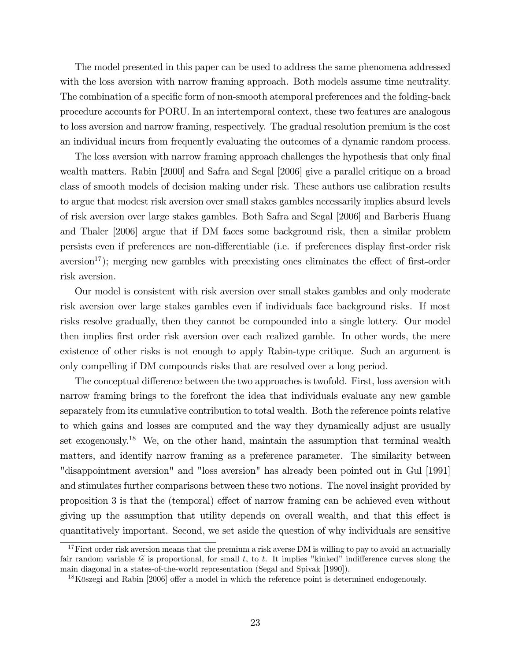The model presented in this paper can be used to address the same phenomena addressed with the loss aversion with narrow framing approach. Both models assume time neutrality. The combination of a specific form of non-smooth atemporal preferences and the folding-back procedure accounts for PORU. In an intertemporal context, these two features are analogous to loss aversion and narrow framing, respectively. The gradual resolution premium is the cost an individual incurs from frequently evaluating the outcomes of a dynamic random process.

The loss aversion with narrow framing approach challenges the hypothesis that only final wealth matters. Rabin [2000] and Safra and Segal [2006] give a parallel critique on a broad class of smooth models of decision making under risk. These authors use calibration results to argue that modest risk aversion over small stakes gambles necessarily implies absurd levels of risk aversion over large stakes gambles. Both Safra and Segal [2006] and Barberis Huang and Thaler [2006] argue that if DM faces some background risk, then a similar problem persists even if preferences are non-differentiable (i.e. if preferences display first-order risk aversion<sup>17</sup>); merging new gambles with preexisting ones eliminates the effect of first-order risk aversion.

Our model is consistent with risk aversion over small stakes gambles and only moderate risk aversion over large stakes gambles even if individuals face background risks. If most risks resolve gradually, then they cannot be compounded into a single lottery. Our model then implies Örst order risk aversion over each realized gamble. In other words, the mere existence of other risks is not enough to apply Rabin-type critique. Such an argument is only compelling if DM compounds risks that are resolved over a long period.

The conceptual difference between the two approaches is twofold. First, loss aversion with narrow framing brings to the forefront the idea that individuals evaluate any new gamble separately from its cumulative contribution to total wealth. Both the reference points relative to which gains and losses are computed and the way they dynamically adjust are usually set exogenously.<sup>18</sup> We, on the other hand, maintain the assumption that terminal wealth matters, and identify narrow framing as a preference parameter. The similarity between "disappointment aversion" and "loss aversion" has already been pointed out in Gul [1991] and stimulates further comparisons between these two notions. The novel insight provided by proposition 3 is that the (temporal) effect of narrow framing can be achieved even without giving up the assumption that utility depends on overall wealth, and that this effect is quantitatively important. Second, we set aside the question of why individuals are sensitive

 $17$  First order risk aversion means that the premium a risk averse DM is willing to pay to avoid an actuarially fair random variable  $t\tilde{\epsilon}$  is proportional, for small t, to t. It implies "kinked" indifference curves along the main diagonal in a states-of-the-world representation (Segal and Spivak [1990]).

 $18$ Köszegi and Rabin [2006] offer a model in which the reference point is determined endogenously.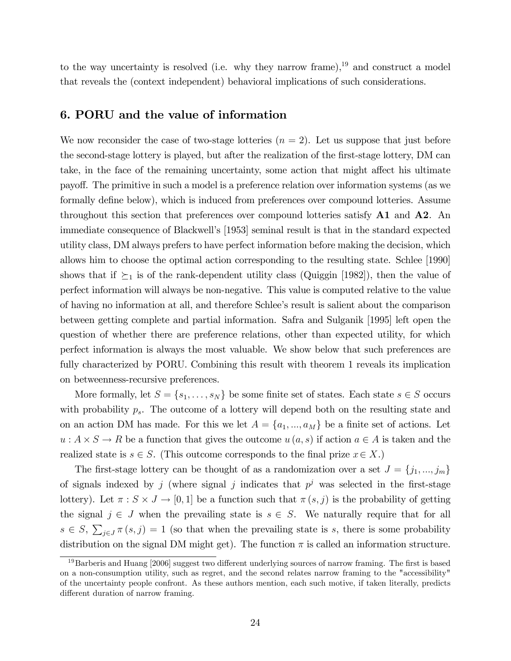to the way uncertainty is resolved (i.e. why they narrow frame),<sup>19</sup> and construct a model that reveals the (context independent) behavioral implications of such considerations.

## 6. PORU and the value of information

We now reconsider the case of two-stage lotteries  $(n = 2)$ . Let us suppose that just before the second-stage lottery is played, but after the realization of the first-stage lottery, DM can take, in the face of the remaining uncertainty, some action that might affect his ultimate payo§. The primitive in such a model is a preference relation over information systems (as we formally define below), which is induced from preferences over compound lotteries. Assume throughout this section that preferences over compound lotteries satisfy  $\mathbf{A1}$  and  $\mathbf{A2}$ . An immediate consequence of Blackwellís [1953] seminal result is that in the standard expected utility class, DM always prefers to have perfect information before making the decision, which allows him to choose the optimal action corresponding to the resulting state. Schlee [1990] shows that if  $\succeq_1$  is of the rank-dependent utility class (Quiggin [1982]), then the value of perfect information will always be non-negative. This value is computed relative to the value of having no information at all, and therefore Schlee's result is salient about the comparison between getting complete and partial information. Safra and Sulganik [1995] left open the question of whether there are preference relations, other than expected utility, for which perfect information is always the most valuable. We show below that such preferences are fully characterized by PORU. Combining this result with theorem 1 reveals its implication on betweenness-recursive preferences.

More formally, let  $S = \{s_1, \ldots, s_N\}$  be some finite set of states. Each state  $s \in S$  occurs with probability  $p_s$ . The outcome of a lottery will depend both on the resulting state and on an action DM has made. For this we let  $A = \{a_1, ..., a_M\}$  be a finite set of actions. Let  $u: A \times S \to R$  be a function that gives the outcome  $u(a, s)$  if action  $a \in A$  is taken and the realized state is  $s \in S$ . (This outcome corresponds to the final prize  $x \in X$ .)

The first-stage lottery can be thought of as a randomization over a set  $J = \{j_1, ..., j_m\}$ of signals indexed by j (where signal j indicates that  $p^j$  was selected in the first-stage lottery). Let  $\pi : S \times J \to [0,1]$  be a function such that  $\pi(s, j)$  is the probability of getting the signal  $j \in J$  when the prevailing state is  $s \in S$ . We naturally require that for all  $s \in S$ ,  $\sum_{j\in J}\pi(s,j) = 1$  (so that when the prevailing state is s, there is some probability distribution on the signal DM might get). The function  $\pi$  is called an information structure.

 $19$ Barberis and Huang [2006] suggest two different underlying sources of narrow framing. The first is based on a non-consumption utility, such as regret, and the second relates narrow framing to the "accessibility" of the uncertainty people confront. As these authors mention, each such motive, if taken literally, predicts different duration of narrow framing.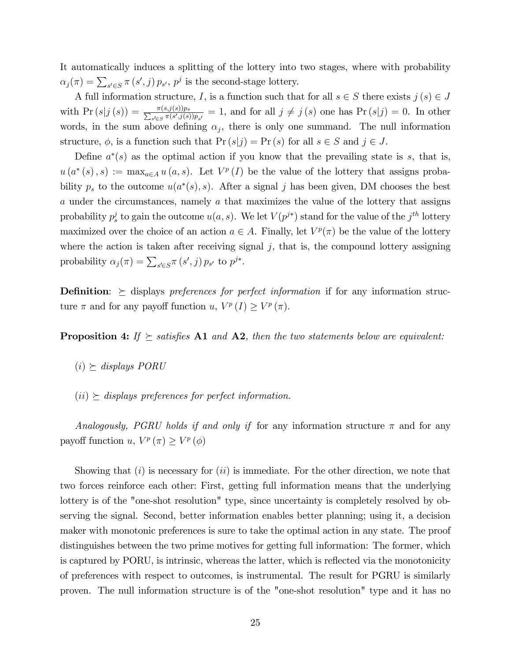It automatically induces a splitting of the lottery into two stages, where with probability  $\alpha_j(\pi) = \sum_{s' \in S} \pi(s', j) p_{s'}, p^j$  is the second-stage lottery.

A full information structure, I, is a function such that for all  $s \in S$  there exists  $j(s) \in J$ with  $\Pr(s|j(s)) = \frac{\pi(s,j(s))p_s}{\sum_{s' \in S} \pi(s',j(s))p_{s'}} = 1$ , and for all  $j \neq j(s)$  one has  $\Pr(s|j) = 0$ . In other words, in the sum above defining  $\alpha_j$ , there is only one summand. The null information structure,  $\phi$ , is a function such that  $\Pr(s|j) = \Pr(s)$  for all  $s \in S$  and  $j \in J$ .

Define  $a^*(s)$  as the optimal action if you know that the prevailing state is s, that is,  $u(a^*(s), s) := \max_{a \in A} u(a, s)$ . Let  $V^p(I)$  be the value of the lottery that assigns probability  $p_s$  to the outcome  $u(a^*(s), s)$ . After a signal j has been given, DM chooses the best a under the circumstances, namely a that maximizes the value of the lottery that assigns probability  $p_s^j$  to gain the outcome  $u(a, s)$ . We let  $V(p^{j*})$  stand for the value of the  $j^{th}$  lottery maximized over the choice of an action  $a \in A$ . Finally, let  $V^p(\pi)$  be the value of the lottery where the action is taken after receiving signal  $j$ , that is, the compound lottery assigning probability  $\alpha_j(\pi) = \sum_{s' \in S} \pi(s', j) p_{s'}$  to  $p^{j*}$ .

**Definition:**  $\geq$  displays preferences for perfect information if for any information structure  $\pi$  and for any payoff function u,  $V^p(I) \geq V^p(\pi)$ .

**Proposition 4:** If  $\succeq$  satisfies A1 and A2, then the two statements below are equivalent:

- $(i) \succeq$  displays PORU
- $(ii) \ge$  displays preferences for perfect information.

Analogously, PGRU holds if and only if for any information structure  $\pi$  and for any payoff function  $u, V^p(\pi) \geq V^p(\phi)$ 

Showing that  $(i)$  is necessary for  $(ii)$  is immediate. For the other direction, we note that two forces reinforce each other: First, getting full information means that the underlying lottery is of the "one-shot resolution" type, since uncertainty is completely resolved by observing the signal. Second, better information enables better planning; using it, a decision maker with monotonic preferences is sure to take the optimal action in any state. The proof distinguishes between the two prime motives for getting full information: The former, which is captured by PORU, is intrinsic, whereas the latter, which is reflected via the monotonicity of preferences with respect to outcomes, is instrumental. The result for PGRU is similarly proven. The null information structure is of the "one-shot resolution" type and it has no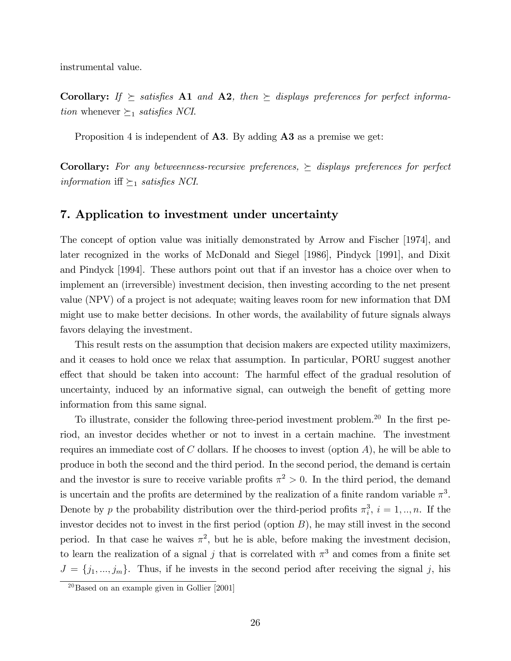instrumental value.

Corollary: If  $\succeq$  satisfies A1 and A2, then  $\succeq$  displays preferences for perfect informa*tion* whenever  $\succeq_1$  *satisfies NCI*.

Proposition 4 is independent of **A3**. By adding **A3** as a premise we get:

**Corollary:** For any betweenness-recursive preferences,  $\succeq$  displays preferences for perfect information iff  $\succeq_1$  satisfies NCI.

## 7. Application to investment under uncertainty

The concept of option value was initially demonstrated by Arrow and Fischer [1974], and later recognized in the works of McDonald and Siegel [1986], Pindyck [1991], and Dixit and Pindyck [1994]. These authors point out that if an investor has a choice over when to implement an (irreversible) investment decision, then investing according to the net present value (NPV) of a project is not adequate; waiting leaves room for new information that DM might use to make better decisions. In other words, the availability of future signals always favors delaying the investment.

This result rests on the assumption that decision makers are expected utility maximizers, and it ceases to hold once we relax that assumption. In particular, PORU suggest another effect that should be taken into account: The harmful effect of the gradual resolution of uncertainty, induced by an informative signal, can outweigh the benefit of getting more information from this same signal.

To illustrate, consider the following three-period investment problem.<sup>20</sup> In the first period, an investor decides whether or not to invest in a certain machine. The investment requires an immediate cost of  $C$  dollars. If he chooses to invest (option  $A$ ), he will be able to produce in both the second and the third period. In the second period, the demand is certain and the investor is sure to receive variable profits  $\pi^2 > 0$ . In the third period, the demand is uncertain and the profits are determined by the realization of a finite random variable  $\pi^3$ . Denote by p the probability distribution over the third-period profits  $\pi_i^3$ ,  $i = 1, ..., n$ . If the investor decides not to invest in the first period (option  $B$ ), he may still invest in the second period. In that case he waives  $\pi^2$ , but he is able, before making the investment decision, to learn the realization of a signal j that is correlated with  $\pi^3$  and comes from a finite set  $J = \{j_1, ..., j_m\}$ . Thus, if he invests in the second period after receiving the signal j, his

 $\sqrt[20]{\text{Based on an example given in } \text{Gollier} [2001]}$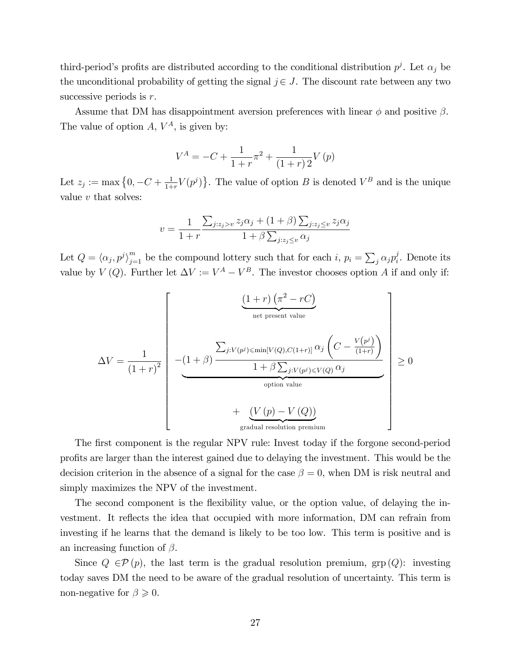third-period's profits are distributed according to the conditional distribution  $p^j$ . Let  $\alpha_j$  be the unconditional probability of getting the signal  $j \in J$ . The discount rate between any two successive periods is  $r$ .

Assume that DM has disappointment aversion preferences with linear  $\phi$  and positive  $\beta$ . The value of option  $A, V^A$ , is given by:

$$
V^{A} = -C + \frac{1}{1+r} \pi^{2} + \frac{1}{(1+r)2} V (p)
$$

Let  $z_j := \max\left\{0, -C + \frac{1}{1+\epsilon}\right\}$  $\frac{1}{1+r}V(p^j)$ . The value of option B is denoted  $V^B$  and is the unique value  $v$  that solves:

$$
v = \frac{1}{1+r} \frac{\sum_{j:z_j > v} z_j \alpha_j + (1+\beta) \sum_{j:z_j \le v} z_j \alpha_j}{1+\beta \sum_{j:z_j \le v} \alpha_j}
$$

Let  $Q = \langle \alpha_j, p^j \rangle_{j=1}^m$  be the compound lottery such that for each  $i, p_i = \sum_j \alpha_j p_i^j$  $i<sub>i</sub>$ . Denote its value by  $V(Q)$ . Further let  $\Delta V := V^A - V^B$ . The investor chooses option A if and only if:

$$
\Delta V = \frac{1}{(1+r)^2} \begin{bmatrix} \frac{(1+r)\left(\pi^2 - rC\right)}{\text{net present value}} \\ -\frac{1}{(1+r)^2} \end{bmatrix}
$$
\n
$$
- \frac{1}{(1+r)^2} \begin{bmatrix} -\frac{(1+\beta)\frac{\sum_{j: V(p^j) \le \min[V(Q), C(1+r)]}{N(Q, C(1+r))} \alpha_j \left(C - \frac{V(p^j)}{(1+r)}\right)}{1 + \beta \sum_{j: V(p^j) \le V(Q)} \alpha_j} \\ + \frac{(V(p) - V(Q))}{\text{gradient value}} \\ \text{gradient resolution premium} \end{bmatrix} \ge 0
$$

The first component is the regular NPV rule: Invest today if the forgone second-period proÖts are larger than the interest gained due to delaying the investment. This would be the decision criterion in the absence of a signal for the case  $\beta = 0$ , when DM is risk neutral and simply maximizes the NPV of the investment.

The second component is the flexibility value, or the option value, of delaying the investment. It reflects the idea that occupied with more information, DM can refrain from investing if he learns that the demand is likely to be too low. This term is positive and is an increasing function of  $\beta$ .

Since  $Q \in \mathcal{P}(p)$ , the last term is the gradual resolution premium, grp  $(Q)$ : investing today saves DM the need to be aware of the gradual resolution of uncertainty. This term is non-negative for  $\beta \geqslant 0$ .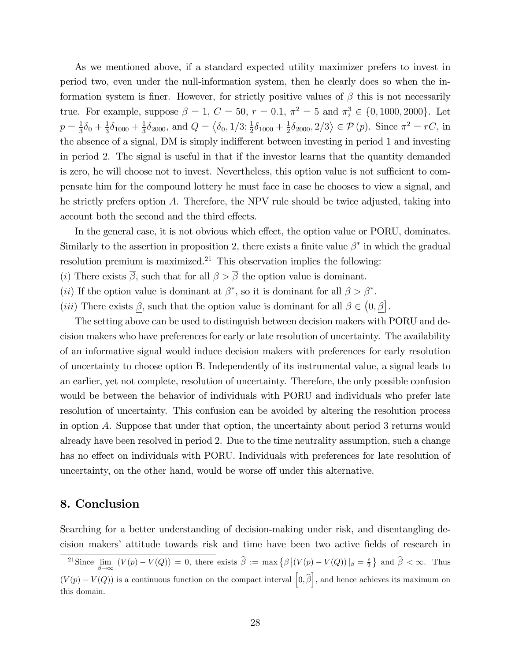As we mentioned above, if a standard expected utility maximizer prefers to invest in period two, even under the null-information system, then he clearly does so when the information system is finer. However, for strictly positive values of  $\beta$  this is not necessarily true. For example, suppose  $\beta = 1, C = 50, r = 0.1, \pi^2 = 5$  and  $\pi_i^3 \in \{0, 1000, 2000\}$ . Let  $p=\frac{1}{3}$  $\frac{1}{3}\delta_0 + \frac{1}{3}$  $\frac{1}{3}\delta_{1000}+\frac{1}{3}$  $\frac{1}{3}\delta_{2000}$ , and  $Q = \langle \delta_0, 1/3; \frac{1}{2}\delta_{1000} + \frac{1}{2}\rangle$  $\frac{1}{2}\delta_{2000}, 2/3 \rangle \in \mathcal{P}(p)$ . Since  $\pi^2 = rC$ , in the absence of a signal, DM is simply indifferent between investing in period 1 and investing in period 2. The signal is useful in that if the investor learns that the quantity demanded is zero, he will choose not to invest. Nevertheless, this option value is not sufficient to compensate him for the compound lottery he must face in case he chooses to view a signal, and he strictly prefers option A. Therefore, the NPV rule should be twice adjusted, taking into account both the second and the third effects.

In the general case, it is not obvious which effect, the option value or PORU, dominates. Similarly to the assertion in proposition 2, there exists a finite value  $\beta^*$  in which the gradual resolution premium is maximized.<sup>21</sup> This observation implies the following:

(*i*) There exists  $\overline{\beta}$ , such that for all  $\beta > \overline{\beta}$  the option value is dominant.

(*ii*) If the option value is dominant at  $\beta^*$ , so it is dominant for all  $\beta > \beta^*$ .

(*iii*) There exists  $\beta$ , such that the option value is dominant for all  $\beta \in (0, \beta]$ .

The setting above can be used to distinguish between decision makers with PORU and decision makers who have preferences for early or late resolution of uncertainty. The availability of an informative signal would induce decision makers with preferences for early resolution of uncertainty to choose option B. Independently of its instrumental value, a signal leads to an earlier, yet not complete, resolution of uncertainty. Therefore, the only possible confusion would be between the behavior of individuals with PORU and individuals who prefer late resolution of uncertainty. This confusion can be avoided by altering the resolution process in option A. Suppose that under that option, the uncertainty about period 3 returns would already have been resolved in period 2. Due to the time neutrality assumption, such a change has no effect on individuals with PORU. Individuals with preferences for late resolution of uncertainty, on the other hand, would be worse off under this alternative.

## 8. Conclusion

Searching for a better understanding of decision-making under risk, and disentangling decision makers' attitude towards risk and time have been two active fields of research in

<sup>&</sup>lt;sup>21</sup>Since  $\lim_{\beta \to \infty} (V(p) - V(Q)) = 0$ , there exists  $\widehat{\beta} := \max \{ \beta | (V(p) - V(Q)) | \beta = \frac{\epsilon}{2} \}$  and  $\widehat{\beta} < \infty$ . Thus  $(V(p) - V(Q))$  is a continuous function on the compact interval  $\left[0, \hat{\beta}\right]$ , and hence achieves its maximum on this domain.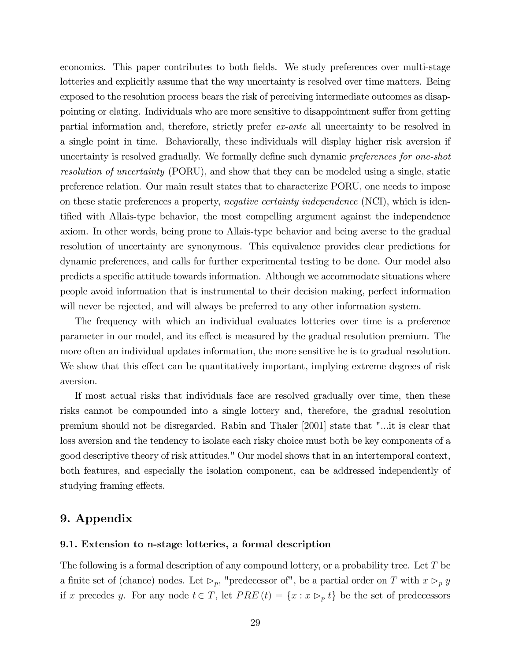economics. This paper contributes to both fields. We study preferences over multi-stage lotteries and explicitly assume that the way uncertainty is resolved over time matters. Being exposed to the resolution process bears the risk of perceiving intermediate outcomes as disappointing or elating. Individuals who are more sensitive to disappointment suffer from getting partial information and, therefore, strictly prefer ex-ante all uncertainty to be resolved in a single point in time. Behaviorally, these individuals will display higher risk aversion if uncertainty is resolved gradually. We formally define such dynamic preferences for one-shot resolution of uncertainty (PORU), and show that they can be modeled using a single, static preference relation. Our main result states that to characterize PORU, one needs to impose on these static preferences a property, negative certainty independence (NCI), which is identified with Allais-type behavior, the most compelling argument against the independence axiom. In other words, being prone to Allais-type behavior and being averse to the gradual resolution of uncertainty are synonymous. This equivalence provides clear predictions for dynamic preferences, and calls for further experimental testing to be done. Our model also predicts a specific attitude towards information. Although we accommodate situations where people avoid information that is instrumental to their decision making, perfect information will never be rejected, and will always be preferred to any other information system.

The frequency with which an individual evaluates lotteries over time is a preference parameter in our model, and its effect is measured by the gradual resolution premium. The more often an individual updates information, the more sensitive he is to gradual resolution. We show that this effect can be quantitatively important, implying extreme degrees of risk aversion.

If most actual risks that individuals face are resolved gradually over time, then these risks cannot be compounded into a single lottery and, therefore, the gradual resolution premium should not be disregarded. Rabin and Thaler [2001] state that "...it is clear that loss aversion and the tendency to isolate each risky choice must both be key components of a good descriptive theory of risk attitudes." Our model shows that in an intertemporal context, both features, and especially the isolation component, can be addressed independently of studying framing effects.

## 9. Appendix

#### 9.1. Extension to n-stage lotteries, a formal description

The following is a formal description of any compound lottery, or a probability tree. Let  $T$  be a finite set of (chance) nodes. Let  $\triangleright_p$ , "predecessor of", be a partial order on T with  $x \triangleright_p y$ if x precedes y. For any node  $t \in T$ , let  $PRE(t) = \{x : x \rhd_p t\}$  be the set of predecessors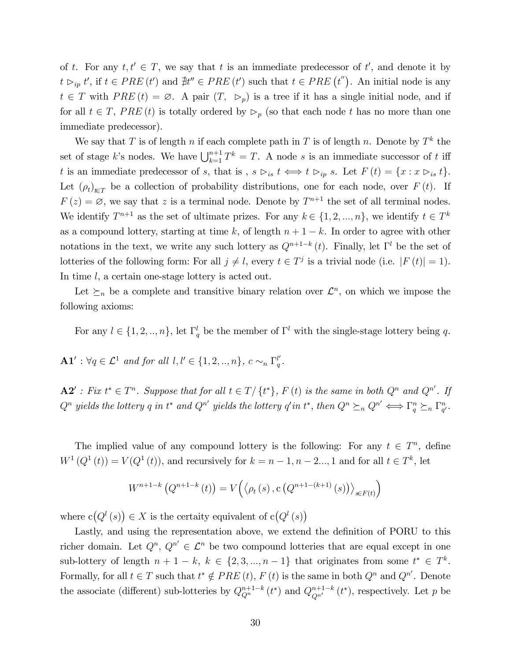of t. For any  $t, t' \in T$ , we say that t is an immediate predecessor of t', and denote it by  $t \rhd_{ip} t'$ , if  $t \in PRE(t')$  and  $\sharp t'' \in PRE(t')$  such that  $t \in PRE(t'')$ . An initial node is any  $t \in T$  with  $PRE (t) = \emptyset$ . A pair  $(T, \triangleright_p)$  is a tree if it has a single initial node, and if for all  $t \in T$ , PRE (t) is totally ordered by  $\triangleright_p$  (so that each node t has no more than one immediate predecessor).

We say that T is of length n if each complete path in T is of length n. Denote by  $T^k$  the set of stage k's nodes. We have  $\bigcup_{k=1}^{n+1} T^k = T$ . A node s is an immediate successor of t iff t is an immediate predecessor of s, that is,  $s \rhd_{is} t \iff t \rhd_{ip} s$ . Let  $F(t) = \{x : x \rhd_{is} t\}.$ Let  $(\rho_t)_{t \in T}$  be a collection of probability distributions, one for each node, over  $F(t)$ . If  $F(z) = \emptyset$ , we say that z is a terminal node. Denote by  $T^{n+1}$  the set of all terminal nodes. We identify  $T^{n+1}$  as the set of ultimate prizes. For any  $k \in \{1, 2, ..., n\}$ , we identify  $t \in T^k$ as a compound lottery, starting at time k, of length  $n + 1 - k$ . In order to agree with other notations in the text, we write any such lottery as  $Q^{n+1-k}(t)$ . Finally, let  $\Gamma^l$  be the set of lotteries of the following form: For all  $j \neq l$ , every  $t \in T^j$  is a trivial node (i.e.  $|F(t)| = 1$ ). In time l, a certain one-stage lottery is acted out.

Let  $\succeq_n$  be a complete and transitive binary relation over  $\mathcal{L}^n$ , on which we impose the following axioms:

For any  $l \in \{1, 2, ..., n\}$ , let  $\Gamma_q^l$  be the member of  $\Gamma^l$  with the single-stage lottery being q.

 $\mathbf{A1}' : \forall q \in \mathcal{L}^1$  and for all  $l, l' \in \{1, 2, ..., n\}, c \sim_n \Gamma_q^{l'}$  $_q^{\prime\prime}$  .

 $\mathbf{A2}^{\prime}$ : Fix  $t^* \in T^n$ . Suppose that for all  $t \in T/\{t^*\}$ , F (t) is the same in both  $Q^n$  and  $Q^{n'}$ . If  $Q^n$  yields the lottery q in t<sup>\*</sup> and  $Q^{n'}$  yields the lottery q'in t\*, then  $Q^n \succeq_n Q^{n'} \Longleftrightarrow \Gamma_q^n \succeq_n \Gamma_{q'}^n$ .

The implied value of any compound lottery is the following: For any  $t \in T^n$ , define  $W^{1}(Q^{1}(t)) = V(Q^{1}(t))$ , and recursively for  $k = n - 1, n - 2, ..., 1$  and for all  $t \in T^{k}$ , let

$$
W^{n+1-k} (Q^{n+1-k} (t)) = V (\langle \rho_t (s), c (Q^{n+1-(k+1)} (s)) \rangle_{s \in F(t)})
$$

where  $c(Q<sup>l</sup>(s)) \in X$  is the certaity equivalent of  $c(Q<sup>l</sup>(s))$ 

Lastly, and using the representation above, we extend the definition of PORU to this richer domain. Let  $Q^n$ ,  $Q^{n'} \in \mathcal{L}^n$  be two compound lotteries that are equal except in one sub-lottery of length  $n+1-k, k \in \{2, 3, ..., n-1\}$  that originates from some  $t^* \in T^k$ . Formally, for all  $t \in T$  such that  $t^* \notin PRE(t)$ ,  $F(t)$  is the same in both  $Q^n$  and  $Q^{n'}$ . Denote the associate (different) sub-lotteries by  $Q_{Q^n}^{n+1-k}(t^*)$  and  $Q_{Q^{n'}}^{n+1-k}(t^*)$ , respectively. Let p be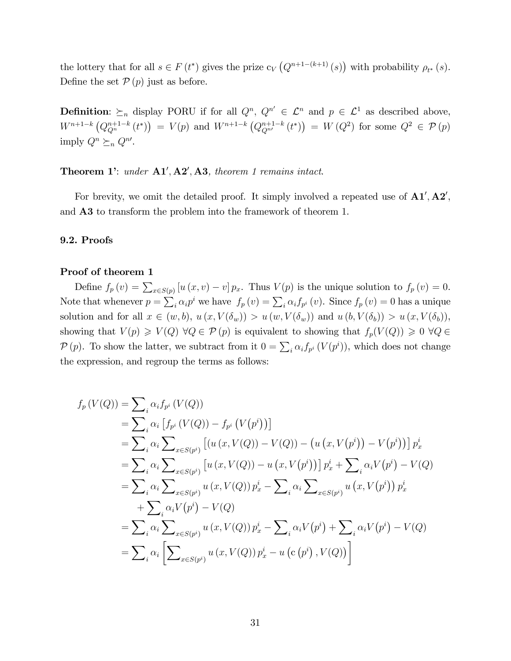the lottery that for all  $s \in F(t^*)$  gives the prize  $c_V(Q^{n+1-(k+1)}(s))$  with probability  $\rho_{t^*}(s)$ . Define the set  $\mathcal{P}(p)$  just as before.

**Definition**:  $\succeq_n$  display PORU if for all  $Q^n$ ,  $Q^{n'} \in \mathcal{L}^n$  and  $p \in \mathcal{L}^1$  as described above,  $W^{n+1-k} (Q_{Q^n}^{n+1-k} (t^*)) = V(p)$  and  $W^{n+1-k} (Q_{Q^{n'}}^{n+1-k} (t^*)) = W(Q^2)$  for some  $Q^2 \in \mathcal{P}(p)$ imply  $Q^n \succeq_n Q^{n'}$ .

Theorem 1: under  $A1', A2', A3$ , theorem 1 remains intact.

For brevity, we omit the detailed proof. It simply involved a repeated use of  $A1', A2',$ and A3 to transform the problem into the framework of theorem 1.

#### 9.2. Proofs

#### Proof of theorem 1

Define  $f_p(v) = \sum_{x \in S(p)} [u(x, v) - v] p_x$ . Thus  $V(p)$  is the unique solution to  $f_p(v) = 0$ . Note that whenever  $p = \sum_i \alpha_i p^i$  we have  $f_p(v) = \sum_i \alpha_i f_{p^i}(v)$ . Since  $f_p(v) = 0$  has a unique solution and for all  $x \in (w, b), u (x, V(\delta_w)) > u (w, V(\delta_w))$  and  $u (b, V(\delta_b)) > u (x, V(\delta_b)),$ showing that  $V(p) \geq V(Q) \ \forall Q \in \mathcal{P}(p)$  is equivalent to showing that  $f_p(V(Q)) \geq 0 \ \forall Q \in$  $\mathcal{P}(p)$ . To show the latter, we subtract from it  $0 = \sum_i \alpha_i f_{p^i} (V(p^i))$ , which does not change the expression, and regroup the terms as follows:

$$
f_p(V(Q)) = \sum_i \alpha_i f_{p^i} (V(Q))
$$
  
\n
$$
= \sum_i \alpha_i [f_{p^i} (V(Q)) - f_{p^i} (V(p^i))]
$$
  
\n
$$
= \sum_i \alpha_i \sum_{x \in S(p^i)} [(u(x, V(Q)) - V(Q)) - (u(x, V(p^i)) - V(p^i))] p_x^i
$$
  
\n
$$
= \sum_i \alpha_i \sum_{x \in S(p^i)} [u(x, V(Q)) - u(x, V(p^i))] p_x^i + \sum_i \alpha_i V(p^i) - V(Q)
$$
  
\n
$$
= \sum_i \alpha_i \sum_{x \in S(p^i)} u(x, V(Q)) p_x^i - \sum_i \alpha_i \sum_{x \in S(p^i)} u(x, V(p^i)) p_x^i
$$
  
\n
$$
+ \sum_i \alpha_i V(p^i) - V(Q)
$$
  
\n
$$
= \sum_i \alpha_i \sum_{x \in S(p^i)} u(x, V(Q)) p_x^i - \sum_i \alpha_i V(p^i) + \sum_i \alpha_i V(p^i) - V(Q)
$$
  
\n
$$
= \sum_i \alpha_i \left[ \sum_{x \in S(p^i)} u(x, V(Q)) p_x^i - u(c(p^i), V(Q)) \right]
$$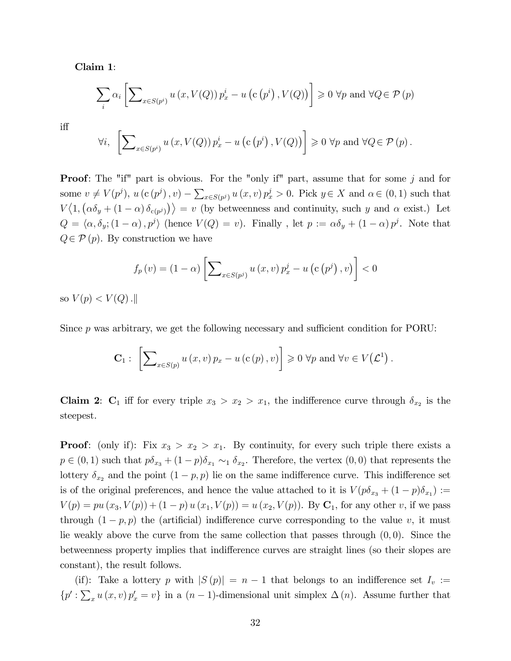Claim 1:

$$
\sum_{i} \alpha_{i} \left[ \sum_{x \in S(p^{i})} u(x, V(Q)) p_{x}^{i} - u(c(p^{i}), V(Q)) \right] \geq 0 \ \forall p \text{ and } \forall Q \in \mathcal{P}(p)
$$

i§

$$
\forall i, \left[\sum\nolimits_{x \in S(p^i)} u(x, V(Q)) p_x^i - u(c(p^i), V(Q))\right] \geq 0 \; \forall p \text{ and } \forall Q \in \mathcal{P}(p).
$$

**Proof:** The "if" part is obvious. For the "only if" part, assume that for some j and for some  $v \neq V(p^j), u(c(p^j), v) - \sum_{x \in S(p^j)} u(x, v) p_x^j > 0$ . Pick  $y \in X$  and  $\alpha \in (0, 1)$  such that  $V\langle 1, (\alpha\delta_y + (1-\alpha)\delta_{c(p^j)}) \rangle = v$  (by betweenness and continuity, such y and  $\alpha$  exist.) Let  $Q = \langle \alpha, \delta_y; (1 - \alpha), p^j \rangle$  (hence  $V(Q) = v$ ). Finally, let  $p := \alpha \delta_y + (1 - \alpha) p^j$ . Note that  $Q \in \mathcal{P}(p)$ . By construction we have

$$
f_p(v) = (1 - \alpha) \left[ \sum_{x \in S(p^j)} u(x, v) p_x^j - u(c(p^j), v) \right] < 0
$$

so  $V(p) < V(Q)$ .

Since  $p$  was arbitrary, we get the following necessary and sufficient condition for PORU:

$$
\mathbf{C}_{1}: \left[\sum\nolimits_{x \in S(p)} u(x,v) p_{x} - u(c(p),v)\right] \geqslant 0 \,\forall p \text{ and } \forall v \in V(\mathcal{L}^{1}).
$$

**Claim 2:** C<sub>1</sub> iff for every triple  $x_3 > x_2 > x_1$ , the indifference curve through  $\delta_{x_2}$  is the steepest.

**Proof:** (only if): Fix  $x_3 > x_2 > x_1$ . By continuity, for every such triple there exists a  $p \in (0,1)$  such that  $p\delta_{x_3} + (1-p)\delta_{x_1} \sim_1 \delta_{x_2}$ . Therefore, the vertex  $(0,0)$  that represents the lottery  $\delta_{x_2}$  and the point  $(1 - p, p)$  lie on the same indifference curve. This indifference set is of the original preferences, and hence the value attached to it is  $V(p\delta_{x_3} + (1-p)\delta_{x_1}) :=$  $V(p) = pu(x_3, V(p)) + (1 - p) u(x_1, V(p)) = u(x_2, V(p)).$  By  $C_1$ , for any other v, if we pass through  $(1 - p, p)$  the (artificial) indifference curve corresponding to the value v, it must lie weakly above the curve from the same collection that passes through  $(0,0)$ . Since the betweenness property implies that indifference curves are straight lines (so their slopes are constant), the result follows.

(if): Take a lottery p with  $|S(p)| = n - 1$  that belongs to an indifference set  $I_v :=$  $\{p':\sum_x u(x,v)p'_x=v\}$  in a  $(n-1)$ -dimensional unit simplex  $\Delta(n)$ . Assume further that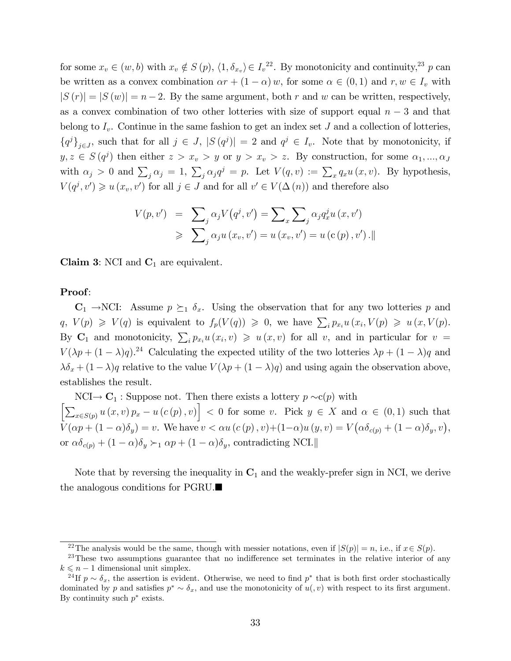for some  $x_v \in (w, b)$  with  $x_v \notin S(p)$ ,  $\langle 1, \delta_{x_v} \rangle \in I_v^{22}$ . By monotonicity and continuity,<sup>23</sup> p can be written as a convex combination  $\alpha r + (1 - \alpha) w$ , for some  $\alpha \in (0, 1)$  and  $r, w \in I_v$  with  $|S(r)| = |S(w)| = n - 2$ . By the same argument, both r and w can be written, respectively, as a convex combination of two other lotteries with size of support equal  $n-3$  and that belong to  $I_v$ . Continue in the same fashion to get an index set J and a collection of lotteries,  ${qj}_{j\in J}$ , such that for all  $j \in J$ ,  $|S(q^j)| = 2$  and  $q^j \in I_v$ . Note that by monotonicity, if  $y, z \in S(q^j)$  then either  $z > x_v > y$  or  $y > x_v > z$ . By construction, for some  $\alpha_1, ..., \alpha_j$ with  $\alpha_j > 0$  and  $\sum_j \alpha_j = 1$ ,  $\sum_j \alpha_j q^j = p$ . Let  $V(q, v) := \sum_x q_x u(x, v)$ . By hypothesis,  $V(q^j, v') \geq u(x_v, v')$  for all  $j \in J$  and for all  $v' \in V(\Delta(n))$  and therefore also

$$
V(p, v') = \sum_{j} \alpha_j V(q^j, v') = \sum_{x} \sum_{j} \alpha_j q_x^j u(x, v')
$$
  

$$
\geqslant \sum_{j} \alpha_j u(x_v, v') = u(x_v, v') = u(c(p), v') .
$$

Claim 3: NCI and  $C_1$  are equivalent.

#### Proof:

 $C_1 \rightarrow NCI$ : Assume  $p \succeq_1 \delta_x$ . Using the observation that for any two lotteries p and  $q, V(p) \geq V(q)$  is equivalent to  $f_p(V(q)) \geq 0$ , we have  $\sum_i p_{x_i} u(x_i, V(p) \geq u(x, V(p))$ . By  $\mathbf{C}_1$  and monotonicity,  $\sum_i p_{x_i} u(x_i, v) \geq u(x, v)$  for all v, and in particular for  $v =$  $V(\lambda p + (1 - \lambda)q).$ <sup>24</sup> Calculating the expected utility of the two lotteries  $\lambda p + (1 - \lambda)q$  and  $\lambda \delta_x + (1 - \lambda)q$  relative to the value  $V(\lambda p + (1 - \lambda)q)$  and using again the observation above, establishes the result.

 $NCI \rightarrow C_1$ : Suppose not. Then there exists a lottery  $p \sim c(p)$  with  $\left[\sum_{x\in S(p)} u(x,v) p_x - u(c(p),v)\right] < 0$  for some v. Pick  $y \in X$  and  $\alpha \in (0,1)$  such that  $V(\alpha p + (1 - \alpha)\delta_y) = v.$  We have  $v < \alpha u(c(p), v) + (1 - \alpha)u(y, v) = V(\alpha \delta_{c(p)} + (1 - \alpha)\delta_y, v),$ or  $\alpha\delta_{c(p)} + (1 - \alpha)\delta_y \succ_1 \alpha p + (1 - \alpha)\delta_y$ , contradicting NCI.

Note that by reversing the inequality in  $C_1$  and the weakly-prefer sign in NCI, we derive the analogous conditions for PGRU.

<sup>&</sup>lt;sup>22</sup>The analysis would be the same, though with messier notations, even if  $|S(p)| = n$ , i.e., if  $x \in S(p)$ .

 $23$ These two assumptions guarantee that no indifference set terminates in the relative interior of any  $k \leq n - 1$  dimensional unit simplex.

<sup>&</sup>lt;sup>24</sup>If  $p \sim \delta_x$ , the assertion is evident. Otherwise, we need to find  $p^*$  that is both first order stochastically dominated by p and satisfies  $p^* \sim \delta_x$ , and use the monotonicity of  $u(0, v)$  with respect to its first argument. By continuity such  $p^*$  exists.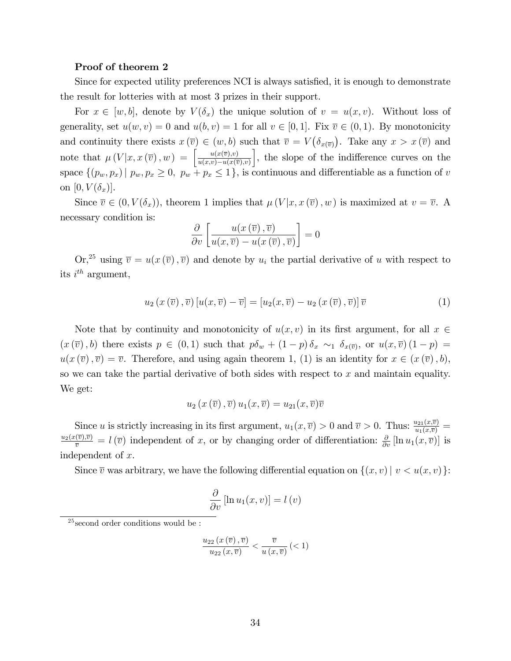#### Proof of theorem 2

Since for expected utility preferences NCI is always satisfied, it is enough to demonstrate the result for lotteries with at most 3 prizes in their support.

For  $x \in [w, b]$ , denote by  $V(\delta_x)$  the unique solution of  $v = u(x, v)$ . Without loss of generality, set  $u(w, v) = 0$  and  $u(b, v) = 1$  for all  $v \in [0, 1]$ . Fix  $\overline{v} \in (0, 1)$ . By monotonicity and continuity there exists  $x(\overline{v}) \in (w, b)$  such that  $\overline{v} = V(\delta_{x(\overline{v})})$ . Take any  $x > x(\overline{v})$  and note that  $\mu(V|x, x(\overline{v}), w) = \begin{bmatrix} \frac{u(x(\overline{v}), v)}{u(x,v)-u(x(\overline{v}))} \\ \frac{u(x(\overline{v}), v)}{v(x,\overline{v})} \end{bmatrix}$  $u(x,v)-u(x(\overline{v}),v)$  $\Big]$ , the slope of the indifference curves on the space  $\{(p_w, p_x) | p_w, p_x \ge 0, p_w + p_x \le 1\}$ , is continuous and differentiable as a function of v on  $[0, V(\delta_x)].$ 

Since  $\overline{v} \in (0, V(\delta_x))$ , theorem 1 implies that  $\mu(V|x, x(\overline{v}), w)$  is maximized at  $v = \overline{v}$ . A necessary condition is:

$$
\frac{\partial}{\partial v}\left[\frac{u(x(\overline{v}),\overline{v})}{u(x,\overline{v})-u(x(\overline{v}),\overline{v})}\right]=0
$$

 $\text{Or,}^{25}$  using  $\overline{v} = u(x(\overline{v}), \overline{v})$  and denote by  $u_i$  the partial derivative of u with respect to its  $i^{th}$  argument,

$$
u_2(x(\overline{v}), \overline{v})[u(x, \overline{v}) - \overline{v}] = [u_2(x, \overline{v}) - u_2(x(\overline{v}), \overline{v})]\overline{v}
$$
\n(1)

Note that by continuity and monotonicity of  $u(x, v)$  in its first argument, for all  $x \in$  $(x(\overline{v}), b)$  there exists  $p \in (0, 1)$  such that  $p\delta_w + (1-p)\delta_x \sim_1 \delta_{x(\overline{v})}$ , or  $u(x, \overline{v}) (1-p) =$  $u(x(\overline{v}), \overline{v}) = \overline{v}$ . Therefore, and using again theorem 1, (1) is an identity for  $x \in (x(\overline{v}), b)$ , so we can take the partial derivative of both sides with respect to  $x$  and maintain equality. We get:

$$
u_2(x(\overline{v}), \overline{v})u_1(x, \overline{v}) = u_{21}(x, \overline{v})\overline{v}
$$

Since u is strictly increasing in its first argument,  $u_1(x, \overline{v}) > 0$  and  $\overline{v} > 0$ . Thus:  $\frac{u_{21}(x, \overline{v})}{u_1(x, \overline{v})} =$  $\frac{u_2(x(\overline{v}),\overline{v})}{\overline{v}} = l(\overline{v})$  independent of x, or by changing order of differentiation:  $\frac{\partial}{\partial v}[\ln u_1(x,\overline{v})]$  is independent of x.

Since  $\overline{v}$  was arbitrary, we have the following differential equation on  $\{(x, v) | v < u(x, v)\}$ :

$$
\frac{\partial}{\partial v} [\ln u_1(x, v)] = l(v)
$$

$$
\frac{u_{22}\left(x\left(\overline{v}\right),\overline{v}\right)}{u_{22}\left(x,\overline{v}\right)} < \frac{\overline{v}}{u\left(x,\overline{v}\right)} \left( < 1\right)
$$

 $25$  second order conditions would be :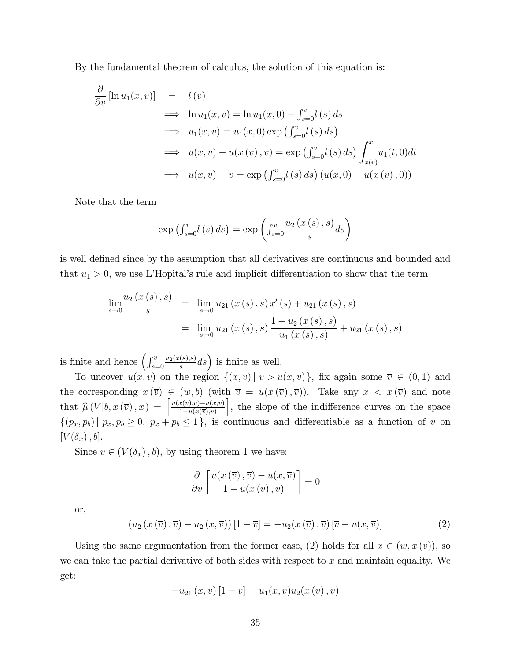By the fundamental theorem of calculus, the solution of this equation is:

$$
\frac{\partial}{\partial v} [\ln u_1(x, v)] = l(v)
$$
\n
$$
\implies \ln u_1(x, v) = \ln u_1(x, 0) + \int_{s=0}^v l(s) ds
$$
\n
$$
\implies u_1(x, v) = u_1(x, 0) \exp \left( \int_{s=0}^v l(s) ds \right)
$$
\n
$$
\implies u(x, v) - u(x(v), v) = \exp \left( \int_{s=0}^v l(s) ds \right) \int_{x(v)}^x u_1(t, 0) dt
$$
\n
$$
\implies u(x, v) - v = \exp \left( \int_{s=0}^v l(s) ds \right) (u(x, 0) - u(x(v), 0))
$$

Note that the term

$$
\exp\left(\int_{s=0}^{v}l(s)\,ds\right)=\exp\left(\int_{s=0}^{v}\frac{u_2\left(x\left(s\right),s\right)}{s}ds\right)
$$

is well defined since by the assumption that all derivatives are continuous and bounded and that  $u_1 > 0$ , we use L'Hopital's rule and implicit differentiation to show that the term

$$
\lim_{s \to 0} \frac{u_2(x(s), s)}{s} = \lim_{s \to 0} u_{21}(x(s), s) x'(s) + u_{21}(x(s), s)
$$
  
= 
$$
\lim_{s \to 0} u_{21}(x(s), s) \frac{1 - u_2(x(s), s)}{u_1(x(s), s)} + u_{21}(x(s), s)
$$

is finite and hence  $\left(\int_{s=0}^{v}$  $u_2(x(s),s)$  $\left(\frac{s(s),s}{s}ds\right)$  is finite as well.

To uncover  $u(x, v)$  on the region  $\{(x, v) | v > u(x, v)\}\$ , fix again some  $\overline{v} \in (0, 1)$  and the corresponding  $x(\overline{v}) \in (w, b)$  (with  $\overline{v} = u(x(\overline{v}), \overline{v})$ ). Take any  $x < x(\overline{v})$  and note that  $\widehat{\mu}\left(V|b,x\left(\overline{v}\right),x\right) = \begin{bmatrix} \frac{u(x(\overline{v}),v)-u(x,v)}{1-u(x(\overline{v}),v)} \end{bmatrix}$  $1-u(x(\overline{v}),v)$ , the slope of the indifference curves on the space  $\{(p_x, p_b) | p_x, p_b \ge 0, p_x + p_b \le 1\}$ , is continuous and differentiable as a function of v on  $[V(\delta_x), b].$ 

Since  $\overline{v} \in (V(\delta_x), b)$ , by using theorem 1 we have:

$$
\frac{\partial}{\partial v}\left[\frac{u(x(\overline{v}),\overline{v})-u(x,\overline{v})}{1-u(x(\overline{v}),\overline{v})}\right]=0
$$

or,

$$
\left(u_2\left(x\left(\overline{v}\right),\overline{v}\right)-u_2\left(x,\overline{v}\right)\right)\left[1-\overline{v}\right] = -u_2(x\left(\overline{v}\right),\overline{v})\left[\overline{v}-u(x,\overline{v})\right]
$$
\n(2)

Using the same argumentation from the former case, (2) holds for all  $x \in (w, x(\overline{v}))$ , so we can take the partial derivative of both sides with respect to  $x$  and maintain equality. We get:

$$
-u_{21}(x,\overline{v})[1-\overline{v}]=u_1(x,\overline{v})u_2(x(\overline{v}),\overline{v})
$$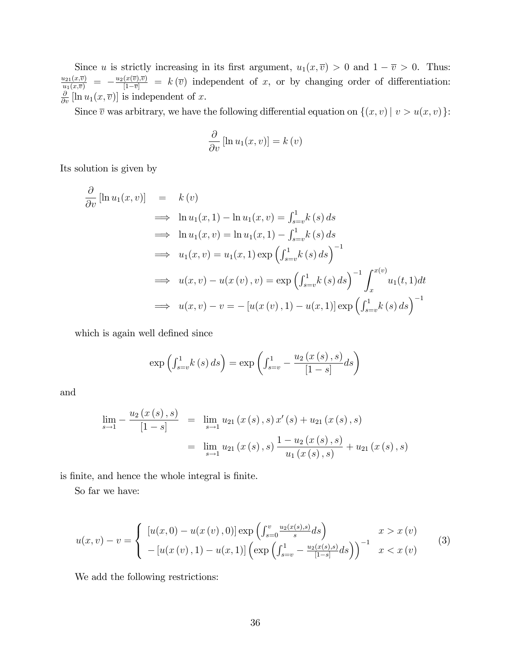Since u is strictly increasing in its first argument,  $u_1(x, \overline{v}) > 0$  and  $1 - \overline{v} > 0$ . Thus:  $\frac{u_{21}(x,\bar{v})}{u_{1}(x,\bar{v})} = -\frac{u_{2}(x(\bar{v}),\bar{v})}{[1-\bar{v}]} = k(\bar{v})$  independent of x, or by changing order of differentiation:  $\frac{\partial}{\partial v}[\ln u_1(x,\overline{v})]$  is independent of x.

Since  $\overline{v}$  was arbitrary, we have the following differential equation on  $\{(x, v) | v > u(x, v)\}$ :

$$
\frac{\partial}{\partial v} [\ln u_1(x, v)] = k(v)
$$

Its solution is given by

$$
\frac{\partial}{\partial v} [\ln u_1(x, v)] = k(v)
$$
\n
$$
\implies \ln u_1(x, 1) - \ln u_1(x, v) = \int_{s=v}^{1} k(s) ds
$$
\n
$$
\implies \ln u_1(x, v) = \ln u_1(x, 1) - \int_{s=v}^{1} k(s) ds
$$
\n
$$
\implies u_1(x, v) = u_1(x, 1) \exp \left( \int_{s=v}^{1} k(s) ds \right)^{-1}
$$
\n
$$
\implies u(x, v) - u(x(v), v) = \exp \left( \int_{s=v}^{1} k(s) ds \right)^{-1} \int_{x}^{x(v)} u_1(t, 1) dt
$$
\n
$$
\implies u(x, v) - v = -[u(x(v), 1) - u(x, 1)] \exp \left( \int_{s=v}^{1} k(s) ds \right)^{-1}
$$

which is again well defined since

$$
\exp\left(\int_{s=v}^{1} k(s) ds\right) = \exp\left(\int_{s=v}^{1} -\frac{u_2\left(x(s), s\right)}{\left[1-s\right]} ds\right)
$$

and

$$
\lim_{s \to 1} -\frac{u_2(x(s), s)}{[1-s]} = \lim_{s \to 1} u_{21}(x(s), s) x'(s) + u_{21}(x(s), s)
$$

$$
= \lim_{s \to 1} u_{21}(x(s), s) \frac{1 - u_2(x(s), s)}{u_1(x(s), s)} + u_{21}(x(s), s)
$$

is finite, and hence the whole integral is finite.

So far we have:

$$
u(x,v) - v = \begin{cases} [u(x,0) - u(x(v),0)] \exp\left(\int_{s=0}^{v} \frac{u_2(x(s),s)}{s} ds\right) & x > x(v) \\ -[u(x(v),1) - u(x,1)] \left(\exp\left(\int_{s=v}^{1} - \frac{u_2(x(s),s)}{1-s} ds\right)\right)^{-1} & x < x(v) \end{cases}
$$
(3)

We add the following restrictions: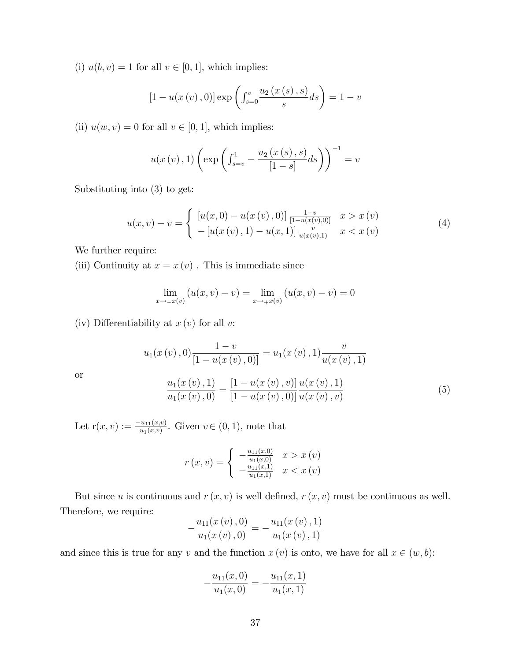(i)  $u(b, v) = 1$  for all  $v \in [0, 1]$ , which implies:

$$
[1 - u(x(v), 0)] \exp \left( \int_{s=0}^{v} \frac{u_2(x(s), s)}{s} ds \right) = 1 - v
$$

(ii)  $u(w, v) = 0$  for all  $v \in [0, 1]$ , which implies:

$$
u(x(v), 1) \left( \exp \left( \int_{s=v}^{1} -\frac{u_2(x(s), s)}{[1-s]} ds \right) \right)^{-1} = v
$$

Substituting into (3) to get:

$$
u(x,v) - v = \begin{cases} [u(x,0) - u(x(v),0)] \frac{1-v}{[1-u(x(v),0)]} & x > x(v) \\ - [u(x(v),1) - u(x,1)] \frac{v}{u(x(v),1)} & x < x(v) \end{cases}
$$
(4)

We further require:

or

(iii) Continuity at  $x = x(v)$ . This is immediate since

$$
\lim_{x \to -x(v)} (u(x, v) - v) = \lim_{x \to +x(v)} (u(x, v) - v) = 0
$$

(iv) Differentiability at  $x(v)$  for all v:

$$
u_1(x(v), 0) \frac{1-v}{[1 - u(x(v), 0)]} = u_1(x(v), 1) \frac{v}{u(x(v), 1)}
$$

$$
\frac{u_1(x(v), 1)}{u_1(x(v), 0)} = \frac{[1 - u(x(v), v)]}{[1 - u(x(v), 0)]} \frac{u(x(v), 1)}{u(x(v), v)}
$$
(5)

Let  $r(x, v) := \frac{-u_{11}(x, v)}{u_{1}(x, v)}$ . Given  $v \in (0, 1)$ , note that

$$
r(x,v) = \begin{cases} -\frac{u_{11}(x,0)}{u_{1}(x,0)} & x > x(v) \\ -\frac{u_{11}(x,1)}{u_{1}(x,1)} & x < x(v) \end{cases}
$$

But since u is continuous and  $r(x, v)$  is well defined,  $r(x, v)$  must be continuous as well. Therefore, we require:

$$
-\frac{u_{11}(x(v),0)}{u_1(x(v),0)} = -\frac{u_{11}(x(v),1)}{u_1(x(v),1)}
$$

and since this is true for any v and the function  $x (v)$  is onto, we have for all  $x \in (w, b)$ :

$$
-\frac{u_{11}(x,0)}{u_1(x,0)} = -\frac{u_{11}(x,1)}{u_1(x,1)}
$$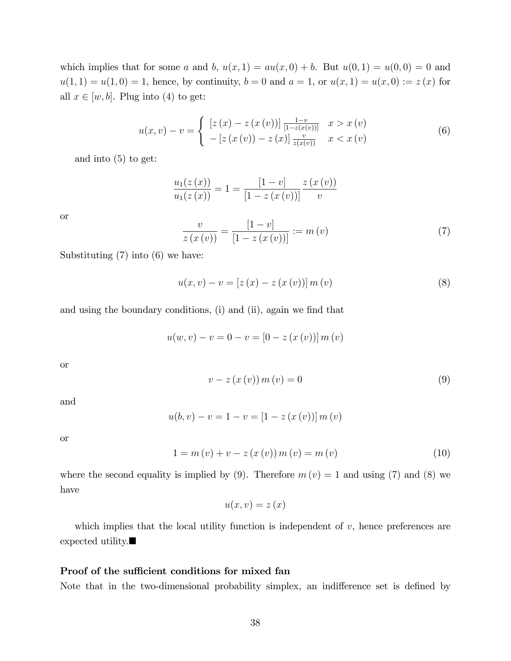which implies that for some a and b,  $u(x, 1) = au(x, 0) + b$ . But  $u(0, 1) = u(0, 0) = 0$  and  $u(1, 1) = u(1, 0) = 1$ , hence, by continuity,  $b = 0$  and  $a = 1$ , or  $u(x, 1) = u(x, 0) := z(x)$  for all  $x \in [w, b]$ . Plug into (4) to get:

$$
u(x,v) - v = \begin{cases} [z(x) - z(x(v))] \frac{1-v}{[1-z(x(v))]} & x > x(v) \\ - [z(x(v)) - z(x)] \frac{v}{z(x(v))} & x < x(v) \end{cases}
$$
(6)

and into (5) to get:

$$
\frac{u_1(z(x))}{u_1(z(x))} = 1 = \frac{[1-v]}{[1-z(x(v))]} \frac{z(x(v))}{v}
$$

or

$$
\frac{v}{z(x(v))} = \frac{[1-v]}{[1-z(x(v))]} := m(v)
$$
\n(7)

Substituting (7) into (6) we have:

$$
u(x, v) - v = [z(x) - z(x(v))] m(v)
$$
\n(8)

and using the boundary conditions, (i) and (ii), again we find that

$$
u(w, v) - v = 0 - v = [0 - z(x(v))] m(v)
$$

or

$$
v - z(x(v)) m(v) = 0
$$
\n<sup>(9)</sup>

and

$$
u(b, v) - v = 1 - v = [1 - z(x(v))] m(v)
$$

or

$$
1 = m(v) + v - z(x(v)) m(v) = m(v)
$$
\n(10)

where the second equality is implied by (9). Therefore  $m(v) = 1$  and using (7) and (8) we have

$$
u(x,v)=z\left( x\right)
$$

which implies that the local utility function is independent of  $v$ , hence preferences are expected utility.

#### Proof of the sufficient conditions for mixed fan

Note that in the two-dimensional probability simplex, an indifference set is defined by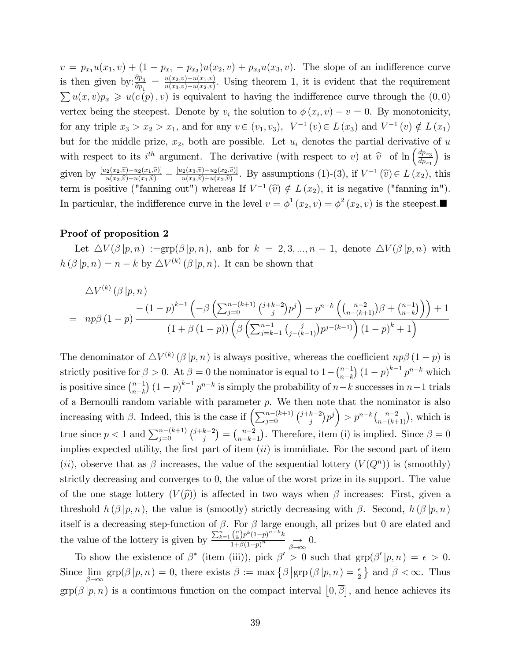$v = p_{x_1}u(x_1, v) + (1 - p_{x_1} - p_{x_3})u(x_2, v) + p_{x_3}u(x_3, v)$ . The slope of an indifference curve is then given by: $\frac{\partial p_3}{\partial p_1} = \frac{u(x_2,v)-u(x_1,v)}{u(x_3,v)-u(x_2,v)}$  $\frac{u(x_2,v)-u(x_1,v)}{u(x_3,v)-u(x_2,v)}$ . Using theorem 1, it is evident that the requirement  $\sum u(x, v)p_x \geq u(c(p), v)$  is equivalent to having the indifference curve through the  $(0, 0)$ vertex being the steepest. Denote by  $v_i$  the solution to  $\phi(x_i, v) - v = 0$ . By monotonicity, for any triple  $x_3 > x_2 > x_1$ , and for any  $v \in (v_1, v_3)$ ,  $V^{-1}(v) \in L(x_3)$  and  $V^{-1}(v) \notin L(x_1)$ but for the middle prize,  $x_2$ , both are possible. Let  $u_i$  denotes the partial derivative of u with respect to its i<sup>th</sup> argument. The derivative (with respect to v) at  $\hat{v}$  of ln  $\left(\frac{dp_{x_3}}{dp_{x_1}}\right)$  $dp_{x_1}$  $\big)$  is given by  $\frac{[u_2(x_2,\hat{v}) - u_2(x_1,\hat{v})]}{u(x_2,\hat{v}) - u(x_1,\hat{v})} - \frac{[u_2(x_3,\hat{v}) - u_2(x_2,\hat{v})]}{u(x_3,\hat{v}) - u(x_2,\hat{v})}$  $\lim_{u(x_3,\hat{v})-u_2(x_2,\hat{v})}$ . By assumptions (1)-(3), if  $V^{-1}(\hat{v}) \in L(x_2)$ , this term is positive ("fanning out") whereas If  $V^{-1}(\hat{v}) \notin L(x_2)$ , it is negative ("fanning in"). In particular, the indifference curve in the level  $v = \phi^1(x_2, v) = \phi^2(x_2, v)$  is the steepest.

#### Proof of proposition 2

Let  $\Delta V(\beta | p, n) := \exp(\beta | p, n)$ , and for  $k = 2, 3, ..., n - 1$ , denote  $\Delta V(\beta | p, n)$  with  $h(\beta | p, n) = n - k$  by  $\Delta V^{(k)}(\beta | p, n)$ . It can be shown that

$$
\Delta V^{(k)}(\beta|p,n) = np\beta(1-p) \frac{- (1-p)^{k-1} \left(-\beta \left(\sum_{j=0}^{n-(k+1)} {j+k-2 \choose j} p^j\right) + p^{n-k} \left(\binom{n-2}{n-(k+1)} \beta + \binom{n-1}{n-k}\right)\right) + 1}{(1+\beta(1-p)) \left(\beta \left(\sum_{j=k-1}^{n-1} {j \choose j-(k-1)} p^{j-(k-1)}\right) (1-p)^k + 1\right)}
$$

The denominator of  $\Delta V^{(k)}(\beta | p, n)$  is always positive, whereas the coefficient  $np\beta(1-p)$  is strictly positive for  $\beta > 0$ . At  $\beta = 0$  the nominator is equal to  $1 - {n-1 \choose n-k}$  $_{n-k}^{n-1}$ )  $(1-p)^{k-1} p^{n-k}$  which is positive since  $\binom{n-1}{n-k}$  $_{n-k}^{n-1}$   $(1-p)^{k-1} p^{n-k}$  is simply the probability of  $n-k$  successes in  $n-1$  trials of a Bernoulli random variable with parameter  $p$ . We then note that the nominator is also increasing with  $\beta$ . Indeed, this is the case if  $\left(\sum_{j=0}^{n-(k+1)}\binom{j+k-2}{j}\right)$  $\binom{k-2}{j} p^j$  >  $p^{n-k} \binom{n-2}{n-(k+1)}$ , which is true since  $p < 1$  and  $\sum_{j=0}^{n-(k+1)} {j+k-2 \choose j}$  $\binom{k-2}{j} = \binom{n-2}{n-k-1}$  $\binom{n-2}{n-k-1}$ . Therefore, item (i) is implied. Since  $\beta = 0$ implies expected utility, the first part of item  $(ii)$  is immidiate. For the second part of item (ii), observe that as  $\beta$  increases, the value of the sequential lottery  $(V(Q^n))$  is (smoothly) strictly decreasing and converges to 0, the value of the worst prize in its support. The value of the one stage lottery  $(V(\hat{p}))$  is affected in two ways when  $\beta$  increases: First, given a threshold  $h(\beta | p, n)$ , the value is (smootly) strictly decreasing with  $\beta$ . Second,  $h(\beta | p, n)$ itself is a decreasing step-function of  $\beta$ . For  $\beta$  large enough, all prizes but 0 are elated and the value of the lottery is given by  $\sum_{k=1}^n \binom{n}{k} p^k (1-p)^{n-k} k$  $\frac{\binom{k}{p} \binom{1-p}{p}}{1+\beta(1-p)^n} \underset{\beta\to\infty}{\longrightarrow} 0.$ 

To show the existence of  $\beta^*$  (item (iii)), pick  $\beta' > 0$  such that  $\text{grp}(\beta'|p,n) = \epsilon > 0$ . Since  $\lim_{\beta \to \infty} \text{grp}(\beta | p, n) = 0$ , there exists  $\overline{\beta} := \max \{ \beta | \text{grp}(\beta | p, n) = \frac{\epsilon}{2} \}$  and  $\overline{\beta} < \infty$ . Thus  $\text{grp}(\beta | p, n)$  is a continuous function on the compact interval  $[0, \overline{\beta}]$ , and hence achieves its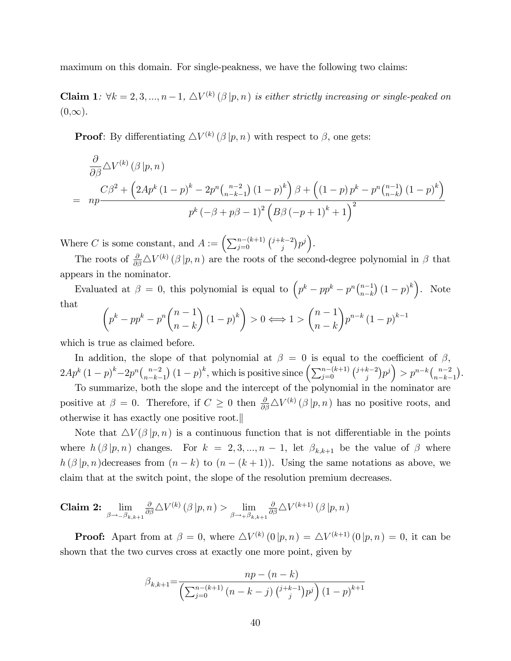maximum on this domain. For single-peakness, we have the following two claims:

**Claim 1**:  $\forall k = 2, 3, ..., n-1, \triangle V^{(k)}(\beta | p, n)$  is either strictly increasing or single-peaked on  $(0,\infty).$ 

**Proof**: By differentiating  $\Delta V^{(k)}(\beta | p, n)$  with respect to  $\beta$ , one gets:

$$
\frac{\partial}{\partial \beta} \Delta V^{(k)}(\beta | p, n) \n= np \frac{C\beta^2 + (2Ap^k (1-p)^k - 2p^n {n-2 \choose n-k-1} (1-p)^k) \beta + ((1-p)p^k - p^n {n-1 \choose n-k} (1-p)^k)}{p^k (-\beta + p\beta - 1)^2 (B\beta (-p+1)^k + 1)^2}
$$

Where C is some constant, and  $A := \left(\sum_{j=0}^{n-(k+1)} \binom{j+k-2}{j}\right)$  $_{j}^{k-2})p^{j}$ .

The roots of  $\frac{\partial}{\partial \beta} \Delta V^{(k)}(\beta | p, n)$  are the roots of the second-degree polynomial in  $\beta$  that appears in the nominator.

Evaluated at  $\beta = 0$ , this polynomial is equal to  $\left(p^k - pp^k - p^n\binom{n-1}{n-k}\right)$  $_{n-k}^{n-1}$   $(1-p)^k$ . Note that  $\sqrt{ }$  $\sqrt{ }$  $\lambda$  $\lambda$  $\sqrt{ }$  $\lambda$ 

$$
\left(p^k - pp^k - p^n \binom{n-1}{n-k} (1-p)^k\right) > 0 \Longleftrightarrow 1 > \binom{n-1}{n-k} p^{n-k} (1-p)^{k-1}
$$

which is true as claimed before.

In addition, the slope of that polynomial at  $\beta = 0$  is equal to the coefficient of  $\beta$ ,  $2Ap^{k}(1-p)^{k}-2p^{n}\binom{n-2}{n-k-1}$  $\binom{n-2}{n-k-1} (1-p)^k$ , which is positive since  $\left(\sum_{j=0}^{n-(k+1)} \binom{j+k-2}{j}\right)$  $\binom{k-2}{j} p^j$  >  $p^{n-k} \binom{n-2}{n-k}$  $\binom{n-2}{n-k-1}$ .

To summarize, both the slope and the intercept of the polynomial in the nominator are positive at  $\beta = 0$ . Therefore, if  $C \geq 0$  then  $\frac{\partial}{\partial \beta} \Delta V^{(k)}(\beta | p, n)$  has no positive roots, and otherwise it has exactly one positive root.k

Note that  $\Delta V(\beta | p, n)$  is a continuous function that is not differentiable in the points where  $h(\beta | p, n)$  changes. For  $k = 2, 3, ..., n - 1$ , let  $\beta_{k,k+1}$  be the value of  $\beta$  where  $h(\beta | p, n)$  decreases from  $(n - k)$  to  $(n - (k + 1))$ . Using the same notations as above, we claim that at the switch point, the slope of the resolution premium decreases.

**Claim 2:** 
$$
\lim_{\beta \to -\beta_{k,k+1}} \frac{\partial}{\partial \beta} \Delta V^{(k)}(\beta | p, n) > \lim_{\beta \to +\beta_{k,k+1}} \frac{\partial}{\partial \beta} \Delta V^{(k+1)}(\beta | p, n)
$$

**Proof:** Apart from at  $\beta = 0$ , where  $\Delta V^{(k)}(0|p,n) = \Delta V^{(k+1)}(0|p,n) = 0$ , it can be shown that the two curves cross at exactly one more point, given by

$$
\beta_{k,k+1} = \frac{np - (n - k)}{\left(\sum_{j=0}^{n-(k+1)} (n - k - j) \binom{j+k-1}{j} p^j \right) (1 - p)^{k+1}}
$$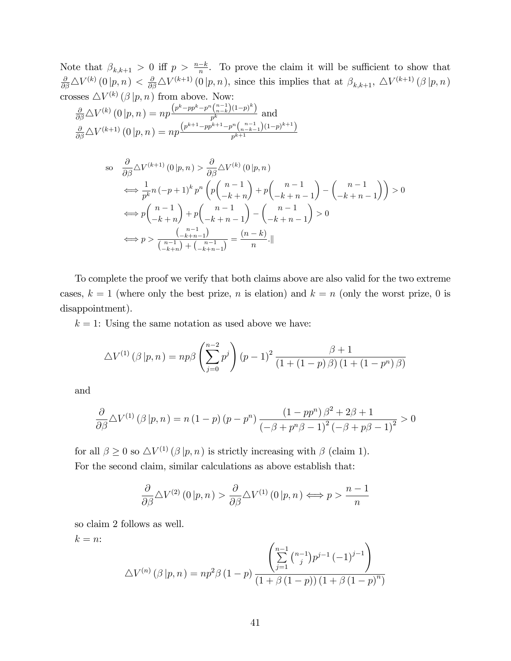Note that  $\beta_{k,k+1} > 0$  iff  $p > \frac{n-k}{n}$ . To prove the claim it will be sufficient to show that  $\frac{\partial}{\partial \beta} \Delta V^{(k)}(0|p,n) < \frac{\partial}{\partial \beta} \Delta V^{(k+1)}(0|p,n)$ , since this implies that at  $\beta_{k,k+1}, \Delta V^{(k+1)}(\beta|p,n)$ crosses  $\triangle V^{(k)}(\beta | p, n)$  from above. Now:

$$
\frac{\partial}{\partial \beta} \triangle V^{(k)}(0 | p, n) = np \frac{\left(p^k - pp^k - p^n \binom{n-1}{n-k} (1-p)^k\right)}{p^k}
$$
 and 
$$
\frac{\partial}{\partial \beta} \triangle V^{(k+1)}(0 | p, n) = np \frac{\left(p^{k+1} - pp^{k+1} - p^n \binom{n-1}{n-k-1} (1-p)^{k+1}\right)}{p^{k+1}}
$$

so 
$$
\frac{\partial}{\partial \beta} \Delta V^{(k+1)}(0|p,n) > \frac{\partial}{\partial \beta} \Delta V^{(k)}(0|p,n)
$$
  
\n
$$
\iff \frac{1}{p^k} n(-p+1)^k p^n \left( p \binom{n-1}{-k+n} + p \binom{n-1}{-k+n-1} - \binom{n-1}{-k+n-1} \right) > 0
$$
  
\n
$$
\iff p \binom{n-1}{-k+n} + p \binom{n-1}{-k+n-1} - \binom{n-1}{-k+n-1} > 0
$$
  
\n
$$
\iff p > \frac{\binom{n-1}{-k+n-1}}{\binom{n-1}{-k+n-1}} = \frac{(n-k)}{n} \cdot ||
$$

To complete the proof we verify that both claims above are also valid for the two extreme cases,  $k = 1$  (where only the best prize, n is elation) and  $k = n$  (only the worst prize, 0 is disappointment).

 $k = 1$ : Using the same notation as used above we have:

$$
\Delta V^{(1)}(\beta | p, n) = np\beta \left(\sum_{j=0}^{n-2} p^j\right) (p-1)^2 \frac{\beta + 1}{(1 + (1-p)\beta) (1 + (1-p^n)\beta)}
$$

and

$$
\frac{\partial}{\partial \beta} \Delta V^{(1)}(\beta | p, n) = n (1 - p) (p - p^n) \frac{(1 - pp^n) \beta^2 + 2\beta + 1}{(-\beta + p^n \beta - 1)^2 (-\beta + p\beta - 1)^2} > 0
$$

for all  $\beta \geq 0$  so  $\Delta V^{(1)}(\beta | p, n)$  is strictly increasing with  $\beta$  (claim 1). For the second claim, similar calculations as above establish that:

$$
\frac{\partial}{\partial \beta} \Delta V^{(2)}(0 | p, n) > \frac{\partial}{\partial \beta} \Delta V^{(1)}(0 | p, n) \Longleftrightarrow p > \frac{n-1}{n}
$$

so claim 2 follows as well.

$$
k = n:
$$
  
\n
$$
\Delta V^{(n)}(\beta | p, n) = np^2 \beta (1 - p) \frac{\left(\sum_{j=1}^{n-1} {n-1 \choose j} p^{j-1} (-1)^{j-1}\right)}{(1 + \beta (1 - p)) (1 + \beta (1 - p)^n)}
$$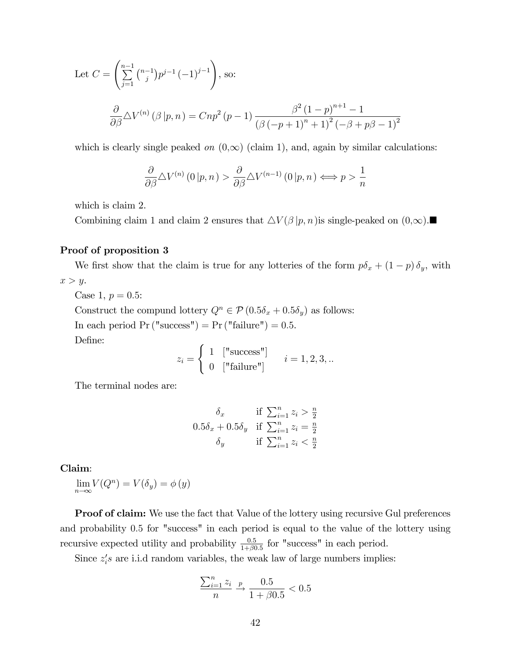Let 
$$
C = \left(\sum_{j=1}^{n-1} {n-1 \choose j} p^{j-1} (-1)^{j-1}\right)
$$
, so:  
\n
$$
\frac{\partial}{\partial \beta} \Delta V^{(n)}(\beta | p, n) = Cnp^2 (p - 1) \frac{\beta^2 (1-p)^{n+1} - 1}{(\beta (-p + 1)^n + 1)^2 (-\beta + p\beta - 1)^2}
$$

which is clearly single peaked on  $(0,\infty)$  (claim 1), and, again by similar calculations:

$$
\frac{\partial}{\partial \beta} \Delta V^{(n)}(0 | p, n) > \frac{\partial}{\partial \beta} \Delta V^{(n-1)}(0 | p, n) \Longleftrightarrow p > \frac{1}{n}
$$

which is claim 2.

Combining claim 1 and claim 2 ensures that  $\Delta V(\beta | p, n)$  is single-peaked on  $(0, \infty)$ .

#### Proof of proposition 3

We first show that the claim is true for any lotteries of the form  $p\delta_x + (1-p)\delta_y$ , with  $x > y$ .

Case 1,  $p = 0.5$ :

Construct the compund lottery  $Q^n \in \mathcal{P} (0.5\delta_x + 0.5\delta_y)$  as follows: In each period  $Pr("success") = Pr("failure") = 0.5.$ 

Define:

$$
z_i = \begin{cases} 1 & [\text{"success"}] \\ 0 & [\text{"failure"}] \end{cases} \quad i = 1, 2, 3, \dots
$$

The terminal nodes are:

$$
\delta_x \quad \text{if } \sum_{i=1}^n z_i > \frac{n}{2}
$$
  
0.5 $\delta_x$  + 0.5 $\delta_y$  if  $\sum_{i=1}^n z_i = \frac{n}{2}$   
 $\delta_y$  if  $\sum_{i=1}^n z_i < \frac{n}{2}$ 

#### Claim:

 $\lim_{n\to\infty} V(Q^n) = V(\delta_y) = \phi(y)$ 

**Proof of claim:** We use the fact that Value of the lottery using recursive Gul preferences and probability 0:5 for "success" in each period is equal to the value of the lottery using recursive expected utility and probability  $\frac{0.5}{1+\beta 0.5}$  for "success" in each period.

Since  $z_i$ 's are i.i.d random variables, the weak law of large numbers implies:

$$
\frac{\sum_{i=1}^{n} z_i}{n} \xrightarrow{p} \frac{0.5}{1 + \beta 0.5} < 0.5
$$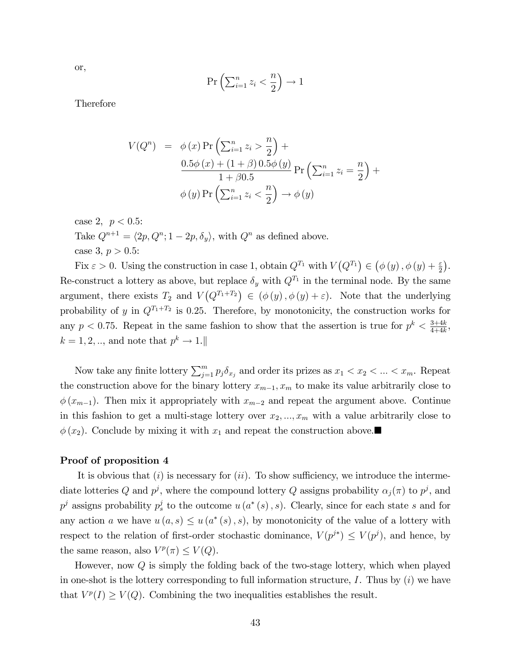or,

$$
\Pr\left(\sum_{i=1}^{n} z_i < \frac{n}{2}\right) \to 1
$$

Therefore

$$
V(Q^{n}) = \phi(x) \Pr \left( \sum_{i=1}^{n} z_{i} > \frac{n}{2} \right) +
$$
  
\n
$$
\frac{0.5\phi(x) + (1+\beta) 0.5\phi(y)}{1+\beta 0.5} \Pr \left( \sum_{i=1}^{n} z_{i} = \frac{n}{2} \right) +
$$
  
\n
$$
\phi(y) \Pr \left( \sum_{i=1}^{n} z_{i} < \frac{n}{2} \right) \to \phi(y)
$$

case 2,  $p < 0.5$ : Take  $Q^{n+1} = \langle 2p, Q^n; 1 - 2p, \delta_y \rangle$ , with  $Q^n$  as defined above. case 3,  $p > 0.5$ :

Fix  $\varepsilon > 0$ . Using the construction in case 1, obtain  $Q^{T_1}$  with  $V(Q^{T_1}) \in (\phi(y), \phi(y) + \frac{\varepsilon}{2})$ . Re-construct a lottery as above, but replace  $\delta_y$  with  $Q^{T_1}$  in the terminal node. By the same argument, there exists  $T_2$  and  $V(Q^{T_1+T_2}) \in (\phi(y), \phi(y) + \varepsilon)$ . Note that the underlying probability of y in  $Q^{T_1+T_2}$  is 0.25. Therefore, by monotonicity, the construction works for any  $p < 0.75$ . Repeat in the same fashion to show that the assertion is true for  $p^k < \frac{3+4k}{4+4k}$  $\frac{3+4k}{4+4k},$  $k = 1, 2, \dots$ , and note that  $p^k \to 1$ .

Now take any finite lottery  $\sum_{j=1}^{m} p_j \delta_{x_j}$  and order its prizes as  $x_1 < x_2 < ... < x_m$ . Repeat the construction above for the binary lottery  $x_{m-1}, x_m$  to make its value arbitrarily close to  $\phi(x_{m-1})$ . Then mix it appropriately with  $x_{m-2}$  and repeat the argument above. Continue in this fashion to get a multi-stage lottery over  $x_2, ..., x_m$  with a value arbitrarily close to  $\phi(x_2)$ . Conclude by mixing it with  $x_1$  and repeat the construction above.

#### Proof of proposition 4

It is obvious that  $(i)$  is necessary for  $(ii)$ . To show sufficiency, we introduce the intermediate lotteries Q and  $p^j$ , where the compound lottery Q assigns probability  $\alpha_j(\pi)$  to  $p^j$ , and  $p^j$  assigns probability  $p_s^j$  to the outcome  $u(a^*(s), s)$ . Clearly, since for each state s and for any action a we have  $u(a,s) \leq u(a^*(s),s)$ , by monotonicity of the value of a lottery with respect to the relation of first-order stochastic dominance,  $V(p^{j*}) \leq V(p^j)$ , and hence, by the same reason, also  $V^p(\pi) \leq V(Q)$ .

However, now Q is simply the folding back of the two-stage lottery, which when played in one-shot is the lottery corresponding to full information structure, I. Thus by  $(i)$  we have that  $V^p(I) \geq V(Q)$ . Combining the two inequalities establishes the result.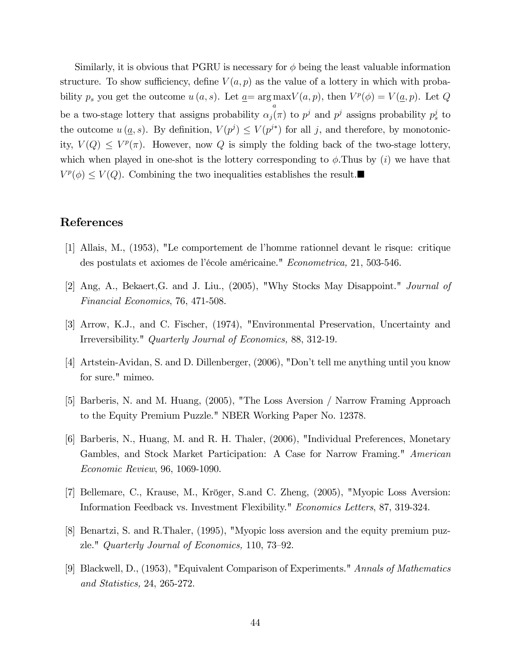Similarly, it is obvious that PGRU is necessary for  $\phi$  being the least valuable information structure. To show sufficiency, define  $V(a, p)$  as the value of a lottery in which with probability  $p_s$  you get the outcome  $u(a, s)$ . Let  $\underline{a} = \arg \max V(a, p)$ , then  $V^p(\phi) = V(\underline{a}, p)$ . Let Q a be a two-stage lottery that assigns probability  $\alpha_j(\pi)$  to  $p^j$  and  $p^j$  assigns probability  $p_s^j$  to the outcome  $u(\underline{a}, s)$ . By definition,  $V(p^j) \leq V(p^{j*})$  for all j, and therefore, by monotonicity,  $V(Q) \leq V^p(\pi)$ . However, now Q is simply the folding back of the two-stage lottery, which when played in one-shot is the lottery corresponding to  $\phi$ . Thus by (i) we have that  $V^p(\phi) \leq V(Q)$ . Combining the two inequalities establishes the result.

## References

- [1] Allais, M., (1953), "Le comportement de líhomme rationnel devant le risque: critique des postulats et axiomes de l'école américaine." Econometrica, 21, 503-546.
- [2] Ang, A., Bekaert,G. and J. Liu., (2005), "Why Stocks May Disappoint." Journal of Financial Economics, 76, 471-508.
- [3] Arrow, K.J., and C. Fischer, (1974), "Environmental Preservation, Uncertainty and Irreversibility." Quarterly Journal of Economics, 88, 312-19.
- [4] Artstein-Avidan, S. and D. Dillenberger, (2006), "Don't tell me anything until you know for sure." mimeo.
- [5] Barberis, N. and M. Huang, (2005), "The Loss Aversion / Narrow Framing Approach to the Equity Premium Puzzle." NBER Working Paper No. 12378.
- [6] Barberis, N., Huang, M. and R. H. Thaler, (2006), "Individual Preferences, Monetary Gambles, and Stock Market Participation: A Case for Narrow Framing." American Economic Review, 96, 1069-1090.
- [7] Bellemare, C., Krause, M., Kröger, S.and C. Zheng, (2005), "Myopic Loss Aversion: Information Feedback vs. Investment Flexibility." Economics Letters, 87, 319-324.
- [8] Benartzi, S. and R.Thaler, (1995), "Myopic loss aversion and the equity premium puzzle." Quarterly Journal of Economics, 110, 73–92.
- [9] Blackwell, D., (1953), "Equivalent Comparison of Experiments." Annals of Mathematics and Statistics, 24, 265-272.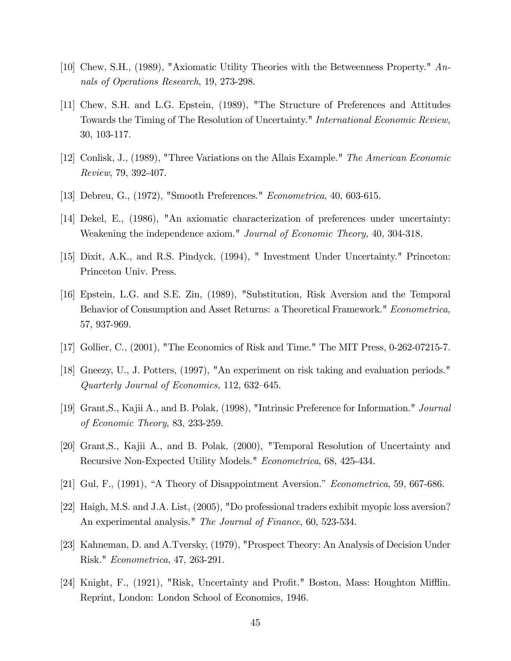- [10] Chew, S.H., (1989), "Axiomatic Utility Theories with the Betweenness Property." Annals of Operations Research, 19, 273-298.
- [11] Chew, S.H. and L.G. Epstein, (1989), "The Structure of Preferences and Attitudes Towards the Timing of The Resolution of Uncertainty." International Economic Review, 30, 103-117.
- [12] Conlisk, J., (1989), "Three Variations on the Allais Example." The American Economic Review, 79, 392-407.
- [13] Debreu, G., (1972), "Smooth Preferences." Econometrica, 40, 603-615.
- [14] Dekel, E., (1986), "An axiomatic characterization of preferences under uncertainty: Weakening the independence axiom." Journal of Economic Theory, 40, 304-318.
- [15] Dixit, A.K., and R.S. Pindyck, (1994), " Investment Under Uncertainty." Princeton: Princeton Univ. Press.
- [16] Epstein, L.G. and S.E. Zin, (1989), "Substitution, Risk Aversion and the Temporal Behavior of Consumption and Asset Returns: a Theoretical Framework." Econometrica, 57, 937-969.
- [17] Gollier, C., (2001), "The Economics of Risk and Time." The MIT Press, 0-262-07215-7.
- [18] Gneezy, U., J. Potters, (1997), "An experiment on risk taking and evaluation periods." Quarterly Journal of Economics,  $112, 632-645$ .
- [19] Grant,S., Kajii A., and B. Polak, (1998), "Intrinsic Preference for Information." Journal of Economic Theory, 83, 233-259.
- [20] Grant,S., Kajii A., and B. Polak, (2000), "Temporal Resolution of Uncertainty and Recursive Non-Expected Utility Models." Econometrica, 68, 425-434.
- [21] Gul, F.,  $(1991)$ , "A Theory of Disappointment Aversion." *Econometrica*, 59, 667-686.
- [22] Haigh, M.S. and J.A. List, (2005), "Do professional traders exhibit myopic loss aversion? An experimental analysis." The Journal of Finance, 60, 523-534.
- [23] Kahneman, D. and A.Tversky, (1979), "Prospect Theory: An Analysis of Decision Under Risk." Econometrica, 47, 263-291.
- [24] Knight, F., (1921), "Risk, Uncertainty and Profit." Boston, Mass: Houghton Mifflin. Reprint, London: London School of Economics, 1946.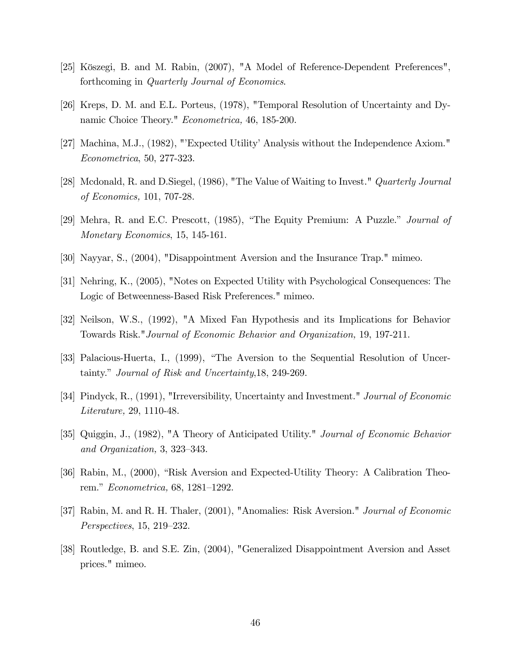- [25] Köszegi, B. and M. Rabin, (2007), "A Model of Reference-Dependent Preferences", forthcoming in Quarterly Journal of Economics.
- [26] Kreps, D. M. and E.L. Porteus, (1978), "Temporal Resolution of Uncertainty and Dynamic Choice Theory." *Econometrica*, 46, 185-200.
- [27] Machina, M.J., (1982), "Expected Utility' Analysis without the Independence Axiom." Econometrica, 50, 277-323.
- [28] Mcdonald, R. and D.Siegel, (1986), "The Value of Waiting to Invest." Quarterly Journal of Economics, 101, 707-28.
- [29] Mehra, R. and E.C. Prescott, (1985), "The Equity Premium: A Puzzle." Journal of Monetary Economics, 15, 145-161.
- [30] Nayyar, S., (2004), "Disappointment Aversion and the Insurance Trap." mimeo.
- [31] Nehring, K., (2005), "Notes on Expected Utility with Psychological Consequences: The Logic of Betweenness-Based Risk Preferences." mimeo.
- [32] Neilson, W.S., (1992), "A Mixed Fan Hypothesis and its Implications for Behavior Towards Risk."Journal of Economic Behavior and Organization, 19, 197-211.
- [33] Palacious-Huerta, I., (1999), "The Aversion to the Sequential Resolution of Uncertainty." *Journal of Risk and Uncertainty*, 18, 249-269.
- [34] Pindyck, R., (1991), "Irreversibility, Uncertainty and Investment." Journal of Economic Literature, 29, 1110-48.
- [35] Quiggin, J., (1982), "A Theory of Anticipated Utility." Journal of Economic Behavior and Organization,  $3, 323-343$ .
- [36] Rabin, M., (2000), "Risk Aversion and Expected-Utility Theory: A Calibration Theorem." Econometrica, 68, 1281–1292.
- [37] Rabin, M. and R. H. Thaler, (2001), "Anomalies: Risk Aversion." Journal of Economic  $Perspecies, 15, 219–232.$
- [38] Routledge, B. and S.E. Zin, (2004), "Generalized Disappointment Aversion and Asset prices." mimeo.